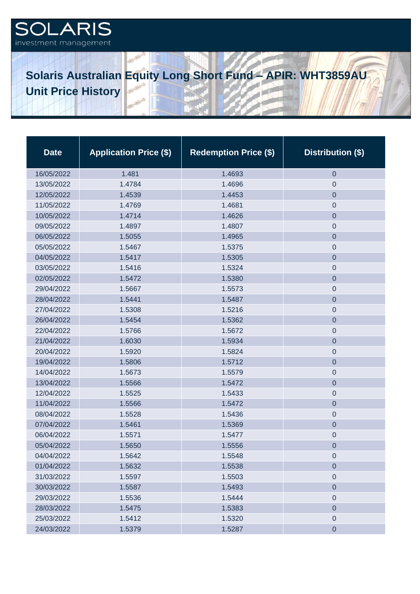## .ARIS investment management

## **Solaris Australian Equity Long Short Fund – APIR: WHT3859AU Unit Price History**

| <b>Date</b> | <b>Application Price (\$)</b> | <b>Redemption Price (\$)</b> | Distribution (\$) |
|-------------|-------------------------------|------------------------------|-------------------|
| 16/05/2022  | 1.481                         | 1.4693                       | $\boldsymbol{0}$  |
| 13/05/2022  | 1.4784                        | 1.4696                       | $\mathbf 0$       |
| 12/05/2022  | 1.4539                        | 1.4453                       | $\mathbf 0$       |
| 11/05/2022  | 1.4769                        | 1.4681                       | $\mathbf 0$       |
| 10/05/2022  | 1.4714                        | 1.4626                       | $\mathbf 0$       |
| 09/05/2022  | 1.4897                        | 1.4807                       | $\mathbf 0$       |
| 06/05/2022  | 1.5055                        | 1.4965                       | $\mathbf 0$       |
| 05/05/2022  | 1.5467                        | 1.5375                       | $\mathbf 0$       |
| 04/05/2022  | 1.5417                        | 1.5305                       | $\mathbf 0$       |
| 03/05/2022  | 1.5416                        | 1.5324                       | $\mathbf 0$       |
| 02/05/2022  | 1.5472                        | 1.5380                       | $\overline{0}$    |
| 29/04/2022  | 1.5667                        | 1.5573                       | $\boldsymbol{0}$  |
| 28/04/2022  | 1.5441                        | 1.5487                       | $\mathbf 0$       |
| 27/04/2022  | 1.5308                        | 1.5216                       | $\boldsymbol{0}$  |
| 26/04/2022  | 1.5454                        | 1.5362                       | $\mathbf 0$       |
| 22/04/2022  | 1.5766                        | 1.5672                       | $\boldsymbol{0}$  |
| 21/04/2022  | 1.6030                        | 1.5934                       | $\mathbf 0$       |
| 20/04/2022  | 1.5920                        | 1.5824                       | $\boldsymbol{0}$  |
| 19/04/2022  | 1.5806                        | 1.5712                       | $\overline{0}$    |
| 14/04/2022  | 1.5673                        | 1.5579                       | $\boldsymbol{0}$  |
| 13/04/2022  | 1.5566                        | 1.5472                       | $\overline{0}$    |
| 12/04/2022  | 1.5525                        | 1.5433                       | $\boldsymbol{0}$  |
| 11/04/2022  | 1.5566                        | 1.5472                       | $\mathbf 0$       |
| 08/04/2022  | 1.5528                        | 1.5436                       | $\mathbf 0$       |
| 07/04/2022  | 1.5461                        | 1.5369                       | $\mathbf 0$       |
| 06/04/2022  | 1.5571                        | 1.5477                       | $\mathbf 0$       |
| 05/04/2022  | 1.5650                        | 1.5556                       | $\boldsymbol{0}$  |
| 04/04/2022  | 1.5642                        | 1.5548                       | $\mathbf 0$       |
| 01/04/2022  | 1.5632                        | 1.5538                       | $\mathbf 0$       |
| 31/03/2022  | 1.5597                        | 1.5503                       | $\mathbf 0$       |
| 30/03/2022  | 1.5587                        | 1.5493                       | $\mathbf 0$       |
| 29/03/2022  | 1.5536                        | 1.5444                       | $\mathbf 0$       |
| 28/03/2022  | 1.5475                        | 1.5383                       | $\mathbf 0$       |
| 25/03/2022  | 1.5412                        | 1.5320                       | $\mathbf 0$       |
| 24/03/2022  | 1.5379                        | 1.5287                       | $\mathbf 0$       |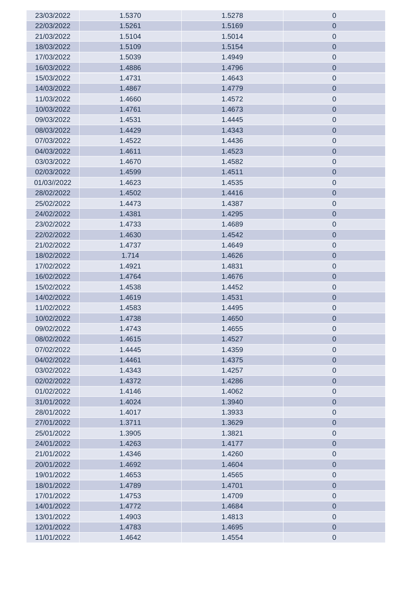| 23/03/2022  | 1.5370 | 1.5278 | $\boldsymbol{0}$    |
|-------------|--------|--------|---------------------|
| 22/03/2022  | 1.5261 | 1.5169 | $\mathbf 0$         |
| 21/03/2022  | 1.5104 | 1.5014 | $\mathbf 0$         |
| 18/03/2022  | 1.5109 | 1.5154 | $\mathbf 0$         |
| 17/03/2022  | 1.5039 | 1.4949 | $\mathsf{O}\xspace$ |
| 16/03/2022  | 1.4886 | 1.4796 | $\mathbf 0$         |
| 15/03/2022  | 1.4731 | 1.4643 | $\mathsf{O}\xspace$ |
| 14/03/2022  | 1.4867 | 1.4779 | $\mathbf 0$         |
| 11/03/2022  | 1.4660 | 1.4572 | $\mathbf 0$         |
| 10/03/2022  | 1.4761 | 1.4673 | $\mathbf 0$         |
| 09/03/2022  | 1.4531 | 1.4445 | $\mathbf 0$         |
| 08/03/2022  | 1.4429 | 1.4343 | $\mathbf 0$         |
| 07/03/2022  | 1.4522 | 1.4436 | $\mathbf 0$         |
| 04/03/2022  | 1.4611 | 1.4523 | $\mathbf 0$         |
| 03/03/2022  | 1.4670 | 1.4582 | $\mathbf 0$         |
| 02/03/2022  | 1.4599 | 1.4511 | $\mathbf 0$         |
| 01/03//2022 | 1.4623 | 1.4535 | $\mathbf 0$         |
| 28/02/2022  | 1.4502 | 1.4416 | $\mathbf 0$         |
| 25/02/2022  | 1.4473 | 1.4387 | $\mathbf 0$         |
| 24/02/2022  | 1.4381 | 1.4295 | $\mathbf 0$         |
| 23/02/2022  | 1.4733 | 1.4689 | $\mathbf 0$         |
| 22/02/2022  | 1.4630 | 1.4542 | $\mathbf 0$         |
| 21/02/2022  | 1.4737 | 1.4649 | $\boldsymbol{0}$    |
| 18/02/2022  | 1.714  | 1.4626 | $\mathbf 0$         |
| 17/02/2022  | 1.4921 | 1.4831 | $\mathbf 0$         |
| 16/02/2022  | 1.4764 | 1.4676 | $\overline{0}$      |
| 15/02/2022  | 1.4538 | 1.4452 | $\boldsymbol{0}$    |
| 14/02/2022  | 1.4619 | 1.4531 | $\overline{0}$      |
| 11/02/2022  | 1.4583 | 1.4495 | $\boldsymbol{0}$    |
| 10/02/2022  | 1.4738 | 1.4650 | $\mathbf 0$         |
| 09/02/2022  | 1.4743 | 1.4655 | $\cup$              |
| 08/02/2022  | 1.4615 | 1.4527 | $\mathbf 0$         |
| 07/02/2022  | 1.4445 | 1.4359 | $\mathbf 0$         |
| 04/02/2022  | 1.4461 | 1.4375 | $\mathbf 0$         |
| 03/02/2022  | 1.4343 | 1.4257 | $\mathbf 0$         |
| 02/02/2022  | 1.4372 | 1.4286 | $\mathbf 0$         |
| 01/02/2022  | 1.4146 | 1.4062 | $\mathbf 0$         |
| 31/01/2022  | 1.4024 | 1.3940 | $\boldsymbol{0}$    |
| 28/01/2022  | 1.4017 | 1.3933 | $\mathbf 0$         |
| 27/01/2022  | 1.3711 | 1.3629 | $\mathbf 0$         |
| 25/01/2022  | 1.3905 | 1.3821 | $\mathbf 0$         |
| 24/01/2022  | 1.4263 | 1.4177 | $\mathbf 0$         |
| 21/01/2022  | 1.4346 | 1.4260 | $\mathbf 0$         |
| 20/01/2022  | 1.4692 | 1.4604 | $\mathbf 0$         |
| 19/01/2022  | 1.4653 | 1.4565 | $\mathbf 0$         |
| 18/01/2022  | 1.4789 | 1.4701 | $\mathbf 0$         |
| 17/01/2022  | 1.4753 | 1.4709 | $\mathbf 0$         |
| 14/01/2022  | 1.4772 | 1.4684 | $\overline{0}$      |
| 13/01/2022  | 1.4903 | 1.4813 | $\mathbf 0$         |
| 12/01/2022  | 1.4783 | 1.4695 | $\pmb{0}$           |
| 11/01/2022  | 1.4642 | 1.4554 | $\mathbf 0$         |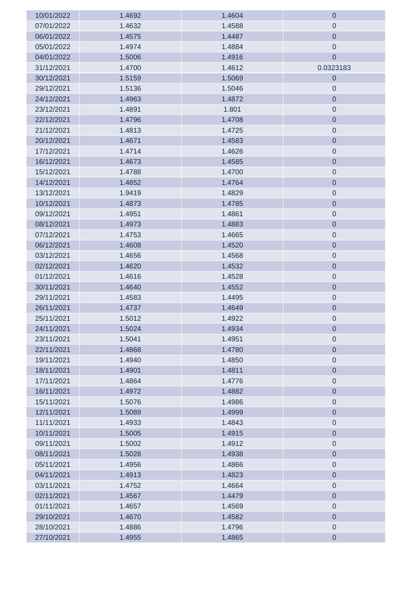| 10/01/2022 | 1.4692 | 1.4604 | $\mathbf 0$         |
|------------|--------|--------|---------------------|
| 07/01/2022 | 1.4632 | 1.4588 | $\mathbf 0$         |
| 06/01/2022 | 1.4575 | 1.4487 | $\mathbf 0$         |
| 05/01/2022 | 1.4974 | 1.4884 | $\boldsymbol{0}$    |
| 04/01/2022 | 1.5006 | 1.4916 | $\mathbf 0$         |
| 31/12/2021 | 1.4700 | 1.4612 | 0.0323183           |
| 30/12/2021 | 1.5159 | 1.5069 | $\boldsymbol{0}$    |
| 29/12/2021 | 1.5136 | 1.5046 | $\theta$            |
| 24/12/2021 | 1.4963 | 1.4872 | $\mathbf 0$         |
| 23/12/2021 | 1.4891 | 1.801  | $\mathbf 0$         |
| 22/12/2021 | 1.4796 | 1.4708 | $\mathbf 0$         |
| 21/12/2021 | 1.4813 | 1.4725 | $\boldsymbol{0}$    |
| 20/12/2021 | 1.4671 | 1.4583 | $\mathbf 0$         |
| 17/12/2021 | 1.4714 | 1.4626 | $\mathbf 0$         |
| 16/12/2021 | 1.4673 | 1.4585 | $\mathbf 0$         |
| 15/12/2021 | 1.4788 | 1.4700 | $\boldsymbol{0}$    |
| 14/12/2021 | 1.4852 | 1.4764 | $\mathbf 0$         |
| 13/12/2021 | 1.9419 | 1.4829 | $\mathsf{O}\xspace$ |
| 10/12/2021 | 1.4873 | 1.4785 | $\theta$            |
| 09/12/2021 | 1.4951 | 1.4861 | $\mathsf{O}\xspace$ |
| 08/12/2021 | 1.4973 | 1.4883 | $\mathbf 0$         |
| 07/12/2021 | 1.4753 | 1.4665 | $\mathsf{O}\xspace$ |
| 06/12/2021 | 1.4608 | 1.4520 | $\mathbf 0$         |
| 03/12/2021 | 1.4656 | 1.4568 | $\mathbf 0$         |
| 02/12/2021 | 1.4620 | 1.4532 | $\mathbf 0$         |
| 01/12/2021 | 1.4616 | 1.4528 | $\mathbf 0$         |
| 30/11/2021 | 1.4640 | 1.4552 | $\mathbf 0$         |
| 29/11/2021 | 1.4583 | 1.4495 | $\boldsymbol{0}$    |
| 26/11/2021 | 1.4737 | 1.4649 | $\mathbf 0$         |
| 25/11/2021 | 1.5012 | 1.4922 | $\mathsf{O}\xspace$ |
| 24/11/2021 | 1.5024 | 1.4934 | $\mathbf 0$         |
| 23/11/2021 | 1.5041 | 1.4951 | $\boldsymbol{0}$    |
| 22/11/2021 | 1.4868 | 1.4780 | $\mathbf 0$         |
| 19/11/2021 | 1.4940 | 1.4850 | $\boldsymbol{0}$    |
| 18/11/2021 | 1.4901 | 1.4811 | $\mathbf 0$         |
| 17/11/2021 | 1.4864 | 1.4776 | $\boldsymbol{0}$    |
| 16/11/2021 | 1.4972 | 1.4882 | $\mathbf 0$         |
| 15/11/2021 | 1.5076 | 1.4986 | $\boldsymbol{0}$    |
| 12/11/2021 | 1.5089 | 1.4999 | $\mathbf 0$         |
| 11/11/2021 | 1.4933 | 1.4843 | $\boldsymbol{0}$    |
| 10/11/2021 | 1.5005 | 1.4915 | $\mathbf 0$         |
| 09/11/2021 | 1.5002 | 1.4912 | $\boldsymbol{0}$    |
| 08/11/2021 | 1.5028 | 1.4938 | $\mathbf 0$         |
| 05/11/2021 | 1.4956 | 1.4866 | $\boldsymbol{0}$    |
| 04/11/2021 | 1.4913 | 1.4823 | $\mathbf 0$         |
| 03/11/2021 | 1.4752 | 1.4664 | $\mathbf 0$         |
| 02/11/2021 | 1.4567 | 1.4479 | $\mathbf 0$         |
| 01/11/2021 | 1.4657 | 1.4569 | $\boldsymbol{0}$    |
| 29/10/2021 | 1.4670 | 1.4582 | $\boldsymbol{0}$    |
| 28/10/2021 | 1.4886 | 1.4796 | $\mathbf 0$         |
| 27/10/2021 | 1.4955 | 1.4865 | $\boldsymbol{0}$    |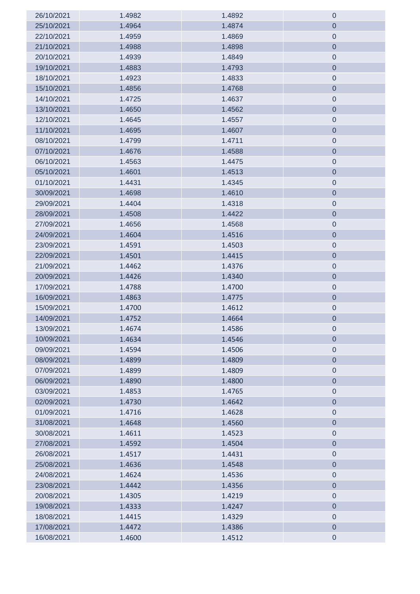| 26/10/2021 | 1.4982 | 1.4892 | $\theta$         |
|------------|--------|--------|------------------|
| 25/10/2021 | 1.4964 | 1.4874 | $\theta$         |
| 22/10/2021 | 1.4959 | 1.4869 | $\pmb{0}$        |
| 21/10/2021 | 1.4988 | 1.4898 | $\mathbf 0$      |
| 20/10/2021 | 1.4939 | 1.4849 | $\pmb{0}$        |
| 19/10/2021 | 1.4883 | 1.4793 | $\boldsymbol{0}$ |
| 18/10/2021 | 1.4923 | 1.4833 | $\mathbf 0$      |
| 15/10/2021 | 1.4856 | 1.4768 | $\mathbf 0$      |
| 14/10/2021 | 1.4725 | 1.4637 | $\mathbf 0$      |
| 13/10/2021 | 1.4650 | 1.4562 | $\mathbf 0$      |
| 12/10/2021 | 1.4645 | 1.4557 | $\boldsymbol{0}$ |
| 11/10/2021 | 1.4695 | 1.4607 | $\mathbf 0$      |
| 08/10/2021 | 1.4799 | 1.4711 | $\boldsymbol{0}$ |
| 07/10/2021 | 1.4676 | 1.4588 | $\mathbf 0$      |
| 06/10/2021 | 1.4563 | 1.4475 | $\boldsymbol{0}$ |
| 05/10/2021 | 1.4601 | 1.4513 | $\mathbf 0$      |
| 01/10/2021 | 1.4431 | 1.4345 | $\boldsymbol{0}$ |
| 30/09/2021 | 1.4698 | 1.4610 | $\boldsymbol{0}$ |
| 29/09/2021 | 1.4404 | 1.4318 | $\boldsymbol{0}$ |
| 28/09/2021 | 1.4508 | 1.4422 | $\boldsymbol{0}$ |
| 27/09/2021 | 1.4656 | 1.4568 | $\boldsymbol{0}$ |
| 24/09/2021 | 1.4604 | 1.4516 | $\mathbf 0$      |
| 23/09/2021 | 1.4591 | 1.4503 | $\boldsymbol{0}$ |
| 22/09/2021 | 1.4501 | 1.4415 | $\mathbf 0$      |
| 21/09/2021 | 1.4462 | 1.4376 | $\boldsymbol{0}$ |
| 20/09/2021 | 1.4426 | 1.4340 | $\mathbf 0$      |
| 17/09/2021 | 1.4788 | 1.4700 | $\theta$         |
| 16/09/2021 | 1.4863 | 1.4775 | $\mathbf 0$      |
| 15/09/2021 | 1.4700 | 1.4612 | $\boldsymbol{0}$ |
| 14/09/2021 | 1.4752 | 1.4664 | $\mathbf 0$      |
| 13/09/2021 | 1.4674 | 1.4586 | 0                |
| 10/09/2021 | 1.4634 | 1.4546 | $\theta$         |
| 09/09/2021 | 1.4594 | 1.4506 | $\boldsymbol{0}$ |
| 08/09/2021 | 1.4899 | 1.4809 | $\mathbf 0$      |
| 07/09/2021 | 1.4899 | 1.4809 | $\pmb{0}$        |
| 06/09/2021 | 1.4890 | 1.4800 | $\mathbf 0$      |
| 03/09/2021 | 1.4853 | 1.4765 | $\mathbf 0$      |
| 02/09/2021 | 1.4730 | 1.4642 | $\mathbf 0$      |
| 01/09/2021 | 1.4716 | 1.4628 | $\mathbf 0$      |
| 31/08/2021 | 1.4648 | 1.4560 | $\mathbf 0$      |
| 30/08/2021 | 1.4611 | 1.4523 | $\mathbf 0$      |
| 27/08/2021 | 1.4592 | 1.4504 | $\mathbf 0$      |
| 26/08/2021 | 1.4517 | 1.4431 | $\boldsymbol{0}$ |
| 25/08/2021 | 1.4636 | 1.4548 | $\mathbf 0$      |
| 24/08/2021 | 1.4624 | 1.4536 | $\boldsymbol{0}$ |
| 23/08/2021 | 1.4442 | 1.4356 | $\mathbf 0$      |
| 20/08/2021 | 1.4305 | 1.4219 | $\boldsymbol{0}$ |
| 19/08/2021 | 1.4333 | 1.4247 | $\mathbf 0$      |
| 18/08/2021 | 1.4415 | 1.4329 | $\boldsymbol{0}$ |
| 17/08/2021 | 1.4472 | 1.4386 | $\boldsymbol{0}$ |
| 16/08/2021 | 1.4600 | 1.4512 | $\boldsymbol{0}$ |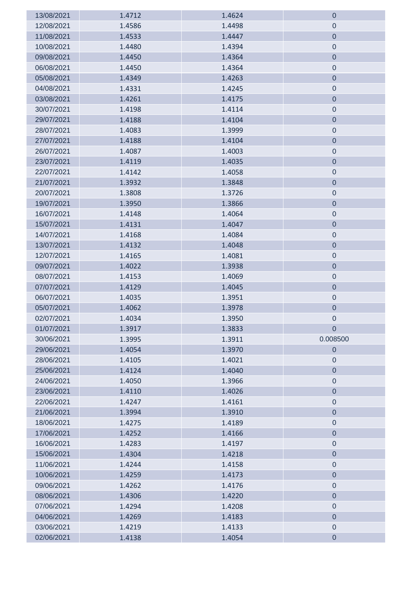| 13/08/2021 | 1.4712 | 1.4624 | $\mathbf 0$      |
|------------|--------|--------|------------------|
| 12/08/2021 | 1.4586 | 1.4498 | $\theta$         |
| 11/08/2021 | 1.4533 | 1.4447 | $\mathbf 0$      |
| 10/08/2021 | 1.4480 | 1.4394 | $\mathbf 0$      |
| 09/08/2021 | 1.4450 | 1.4364 | $\mathbf 0$      |
| 06/08/2021 | 1.4450 | 1.4364 | $\theta$         |
| 05/08/2021 | 1.4349 | 1.4263 | $\mathbf 0$      |
| 04/08/2021 | 1.4331 | 1.4245 | $\theta$         |
| 03/08/2021 | 1.4261 | 1.4175 | $\mathbf 0$      |
| 30/07/2021 | 1.4198 | 1.4114 | $\boldsymbol{0}$ |
| 29/07/2021 | 1.4188 | 1.4104 | $\mathbf 0$      |
| 28/07/2021 | 1.4083 | 1.3999 | $\boldsymbol{0}$ |
| 27/07/2021 | 1.4188 | 1.4104 | $\mathbf 0$      |
| 26/07/2021 | 1.4087 | 1.4003 | $\pmb{0}$        |
| 23/07/2021 | 1.4119 | 1.4035 | $\theta$         |
| 22/07/2021 | 1.4142 | 1.4058 | $\pmb{0}$        |
| 21/07/2021 | 1.3932 | 1.3848 | $\boldsymbol{0}$ |
| 20/07/2021 | 1.3808 | 1.3726 | $\mathbf 0$      |
| 19/07/2021 | 1.3950 | 1.3866 | $\boldsymbol{0}$ |
| 16/07/2021 | 1.4148 | 1.4064 | $\mathbf 0$      |
| 15/07/2021 | 1.4131 | 1.4047 | $\mathbf 0$      |
| 14/07/2021 | 1.4168 | 1.4084 | $\boldsymbol{0}$ |
| 13/07/2021 | 1.4132 | 1.4048 | $\mathbf 0$      |
| 12/07/2021 | 1.4165 | 1.4081 | $\boldsymbol{0}$ |
| 09/07/2021 | 1.4022 | 1.3938 | $\mathbf 0$      |
| 08/07/2021 | 1.4153 | 1.4069 | $\boldsymbol{0}$ |
| 07/07/2021 | 1.4129 | 1.4045 | $\mathbf 0$      |
| 06/07/2021 | 1.4035 | 1.3951 | $\boldsymbol{0}$ |
| 05/07/2021 | 1.4062 | 1.3978 | $\boldsymbol{0}$ |
| 02/07/2021 | 1.4034 | 1.3950 | $\mathbf 0$      |
| 01/07/2021 | 1.3917 | 1.3833 | $\mathbf 0$      |
| 30/06/2021 | 1.3995 | 1.3911 | 0.008500         |
| 29/06/2021 | 1.4054 | 1.3970 | $\mathbf 0$      |
| 28/06/2021 | 1.4105 | 1.4021 | $\theta$         |
| 25/06/2021 | 1.4124 | 1.4040 | $\mathbf 0$      |
| 24/06/2021 | 1.4050 | 1.3966 | $\boldsymbol{0}$ |
| 23/06/2021 | 1.4110 | 1.4026 | $\mathbf 0$      |
| 22/06/2021 | 1.4247 | 1.4161 | $\mathbf 0$      |
| 21/06/2021 | 1.3994 | 1.3910 | $\mathbf 0$      |
| 18/06/2021 | 1.4275 | 1.4189 | $\boldsymbol{0}$ |
| 17/06/2021 | 1.4252 | 1.4166 | $\mathbf 0$      |
| 16/06/2021 | 1.4283 | 1.4197 | $\mathbf 0$      |
| 15/06/2021 | 1.4304 | 1.4218 | $\mathbf 0$      |
| 11/06/2021 | 1.4244 | 1.4158 | $\boldsymbol{0}$ |
| 10/06/2021 | 1.4259 | 1.4173 | $\mathbf 0$      |
| 09/06/2021 | 1.4262 | 1.4176 | $\pmb{0}$        |
| 08/06/2021 | 1.4306 | 1.4220 | $\theta$         |
| 07/06/2021 | 1.4294 | 1.4208 | $\pmb{0}$        |
| 04/06/2021 | 1.4269 | 1.4183 | $\mathbf 0$      |
| 03/06/2021 | 1.4219 | 1.4133 | $\mathbf 0$      |
| 02/06/2021 | 1.4138 | 1.4054 | $\boldsymbol{0}$ |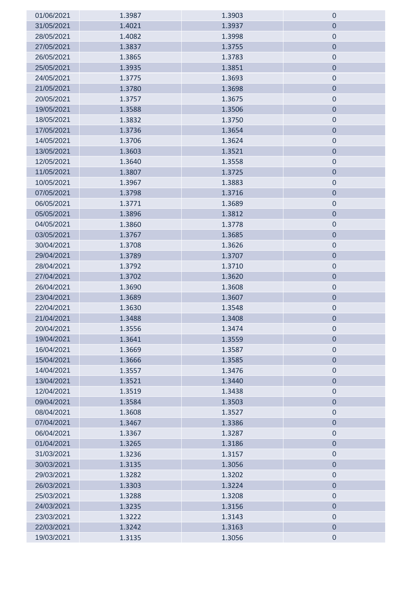| 01/06/2021 | 1.3987 | 1.3903 | $\boldsymbol{0}$    |
|------------|--------|--------|---------------------|
| 31/05/2021 | 1.4021 | 1.3937 | $\boldsymbol{0}$    |
| 28/05/2021 | 1.4082 | 1.3998 | $\mathsf{O}\xspace$ |
| 27/05/2021 | 1.3837 | 1.3755 | $\mathbf 0$         |
| 26/05/2021 | 1.3865 | 1.3783 | $\mathsf{O}\xspace$ |
| 25/05/2021 | 1.3935 | 1.3851 | $\mathbf 0$         |
| 24/05/2021 | 1.3775 | 1.3693 | $\mathbf 0$         |
| 21/05/2021 | 1.3780 | 1.3698 | $\mathbf 0$         |
| 20/05/2021 | 1.3757 | 1.3675 | $\mathbf 0$         |
| 19/05/2021 | 1.3588 | 1.3506 | $\mathbf 0$         |
| 18/05/2021 | 1.3832 | 1.3750 | $\mathbf 0$         |
| 17/05/2021 | 1.3736 | 1.3654 | $\mathbf 0$         |
| 14/05/2021 | 1.3706 | 1.3624 | $\mathbf 0$         |
| 13/05/2021 | 1.3603 | 1.3521 | $\mathbf 0$         |
| 12/05/2021 | 1.3640 | 1.3558 | $\mathbf 0$         |
| 11/05/2021 | 1.3807 | 1.3725 | $\mathbf 0$         |
| 10/05/2021 | 1.3967 | 1.3883 | $\mathbf 0$         |
| 07/05/2021 | 1.3798 | 1.3716 | $\mathbf 0$         |
| 06/05/2021 | 1.3771 | 1.3689 | $\boldsymbol{0}$    |
| 05/05/2021 | 1.3896 | 1.3812 | $\mathbf 0$         |
| 04/05/2021 | 1.3860 | 1.3778 | $\pmb{0}$           |
| 03/05/2021 | 1.3767 | 1.3685 | $\mathbf 0$         |
| 30/04/2021 | 1.3708 | 1.3626 | $\boldsymbol{0}$    |
| 29/04/2021 | 1.3789 | 1.3707 | $\mathbf 0$         |
| 28/04/2021 | 1.3792 | 1.3710 | $\mathbf 0$         |
| 27/04/2021 | 1.3702 | 1.3620 | $\mathbf 0$         |
| 26/04/2021 | 1.3690 | 1.3608 | $\boldsymbol{0}$    |
| 23/04/2021 | 1.3689 | 1.3607 | $\mathbf 0$         |
| 22/04/2021 | 1.3630 | 1.3548 | $\boldsymbol{0}$    |
| 21/04/2021 | 1.3488 | 1.3408 | $\mathbf 0$         |
| 20/04/2021 | 1.3556 | 1.3474 | U                   |
| 19/04/2021 | 1.3641 | 1.3559 | $\mathbf 0$         |
| 16/04/2021 | 1.3669 | 1.3587 | $\mathbf 0$         |
| 15/04/2021 | 1.3666 | 1.3585 | $\mathbf 0$         |
| 14/04/2021 | 1.3557 | 1.3476 | $\mathbf 0$         |
| 13/04/2021 | 1.3521 | 1.3440 | $\mathbf 0$         |
| 12/04/2021 | 1.3519 | 1.3438 | $\mathbf 0$         |
| 09/04/2021 | 1.3584 | 1.3503 | $\mathbf 0$         |
| 08/04/2021 | 1.3608 | 1.3527 | $\mathbf 0$         |
| 07/04/2021 | 1.3467 | 1.3386 | $\mathbf 0$         |
| 06/04/2021 | 1.3367 | 1.3287 | $\mathbf 0$         |
| 01/04/2021 | 1.3265 | 1.3186 | $\mathbf 0$         |
| 31/03/2021 | 1.3236 | 1.3157 | $\mathbf 0$         |
| 30/03/2021 | 1.3135 | 1.3056 | $\mathbf 0$         |
| 29/03/2021 | 1.3282 | 1.3202 | $\mathbf 0$         |
| 26/03/2021 | 1.3303 | 1.3224 | $\mathbf 0$         |
| 25/03/2021 | 1.3288 | 1.3208 | $\mathbf 0$         |
| 24/03/2021 | 1.3235 | 1.3156 | $\mathbf 0$         |
| 23/03/2021 | 1.3222 | 1.3143 | $\mathbf 0$         |
| 22/03/2021 | 1.3242 | 1.3163 | $\mathbf 0$         |
| 19/03/2021 | 1.3135 | 1.3056 | $\pmb{0}$           |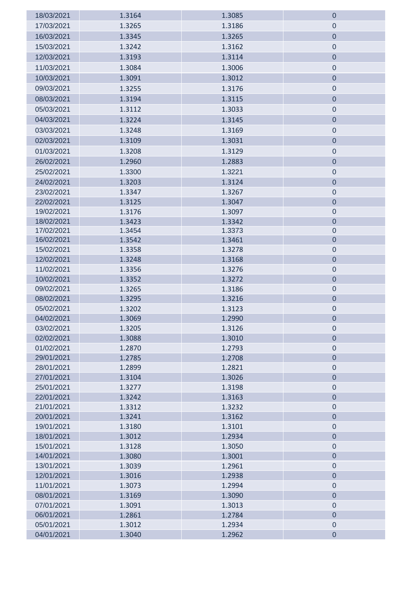| 18/03/2021               | 1.3164           | 1.3085           | $\mathbf 0$                |
|--------------------------|------------------|------------------|----------------------------|
| 17/03/2021               | 1.3265           | 1.3186           | $\theta$                   |
| 16/03/2021               | 1.3345           | 1.3265           | $\boldsymbol{0}$           |
| 15/03/2021               | 1.3242           | 1.3162           | $\theta$                   |
| 12/03/2021               | 1.3193           | 1.3114           | $\pmb{0}$                  |
| 11/03/2021               | 1.3084           | 1.3006           | $\theta$                   |
| 10/03/2021               | 1.3091           | 1.3012           | $\mathbf 0$                |
| 09/03/2021               | 1.3255           | 1.3176           | $\mathbf 0$                |
| 08/03/2021               | 1.3194           | 1.3115           | $\mathbf 0$                |
| 05/03/2021               | 1.3112           | 1.3033           | $\mathbf 0$                |
| 04/03/2021               | 1.3224           | 1.3145           | $\boldsymbol{0}$           |
|                          |                  |                  |                            |
| 03/03/2021               | 1.3248           | 1.3169           | $\mathbf 0$                |
| 02/03/2021               | 1.3109           | 1.3031           | $\boldsymbol{0}$           |
| 01/03/2021               | 1.3208           | 1.3129           | $\boldsymbol{0}$           |
| 26/02/2021               | 1.2960           | 1.2883           | $\boldsymbol{0}$           |
| 25/02/2021               | 1.3300           | 1.3221           | $\boldsymbol{0}$           |
| 24/02/2021               | 1.3203           | 1.3124           | $\boldsymbol{0}$           |
| 23/02/2021               | 1.3347           | 1.3267           | $\mathbf 0$                |
| 22/02/2021               | 1.3125           | 1.3047           | $\boldsymbol{0}$           |
| 19/02/2021               | 1.3176           | 1.3097           | $\theta$                   |
| 18/02/2021               | 1.3423           | 1.3342           | $\mathbf 0$                |
| 17/02/2021               | 1.3454           | 1.3373           | $\mathbf 0$                |
| 16/02/2021               | 1.3542           | 1.3461           | $\boldsymbol{0}$           |
| 15/02/2021               | 1.3358           | 1.3278           | $\theta$                   |
| 12/02/2021<br>11/02/2021 | 1.3248           | 1.3168           | $\boldsymbol{0}$           |
| 10/02/2021               | 1.3356<br>1.3352 | 1.3276<br>1.3272 | $\boldsymbol{0}$           |
| 09/02/2021               | 1.3265           | 1.3186           | $\mathbf 0$<br>$\mathbf 0$ |
| 08/02/2021               | 1.3295           | 1.3216           | $\mathbf 0$                |
| 05/02/2021               | 1.3202           | 1.3123           | $\theta$                   |
| 04/02/2021               | 1.3069           | 1.2990           | $\mathbf 0$                |
| 03/02/2021               | 1.3205           | 1.3126           | $\mathbf 0$                |
| 02/02/2021               | 1.3088           | 1.3010           | $\mathbf 0$                |
| 01/02/2021               | 1.2870           | 1.2793           | $\boldsymbol{0}$           |
| 29/01/2021               | 1.2785           | 1.2708           | $\mathbf 0$                |
| 28/01/2021               | 1.2899           | 1.2821           | $\mathbf 0$                |
| 27/01/2021               | 1.3104           | 1.3026           | $\boldsymbol{0}$           |
| 25/01/2021               | 1.3277           | 1.3198           | $\boldsymbol{0}$           |
| 22/01/2021               | 1.3242           | 1.3163           | $\boldsymbol{0}$           |
| 21/01/2021               | 1.3312           | 1.3232           | $\boldsymbol{0}$           |
| 20/01/2021               | 1.3241           | 1.3162           | $\mathbf 0$                |
| 19/01/2021               | 1.3180           | 1.3101           | $\boldsymbol{0}$           |
| 18/01/2021               | 1.3012           | 1.2934           | $\pmb{0}$                  |
| 15/01/2021               | 1.3128           | 1.3050           | $\mathbf 0$                |
| 14/01/2021               | 1.3080           | 1.3001           | $\pmb{0}$                  |
| 13/01/2021               | 1.3039           | 1.2961           | $\pmb{0}$                  |
| 12/01/2021               | 1.3016           | 1.2938           | $\mathbf 0$                |
| 11/01/2021               | 1.3073           | 1.2994           | $\boldsymbol{0}$           |
| 08/01/2021               | 1.3169           | 1.3090           | $\boldsymbol{0}$           |
| 07/01/2021               | 1.3091           | 1.3013           | $\mathbf 0$                |
| 06/01/2021               | 1.2861           | 1.2784           | $\boldsymbol{0}$           |
| 05/01/2021               | 1.3012           | 1.2934           | $\pmb{0}$                  |
| 04/01/2021               | 1.3040           | 1.2962           | $\boldsymbol{0}$           |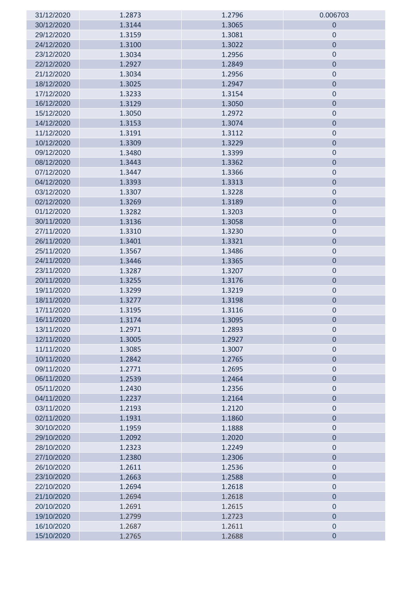| 31/12/2020 | 1.2873 | 1.2796 | 0.006703         |
|------------|--------|--------|------------------|
| 30/12/2020 | 1.3144 | 1.3065 | $\overline{0}$   |
| 29/12/2020 | 1.3159 | 1.3081 | $\boldsymbol{0}$ |
| 24/12/2020 | 1.3100 | 1.3022 | $\overline{0}$   |
| 23/12/2020 | 1.3034 | 1.2956 | $\boldsymbol{0}$ |
| 22/12/2020 | 1.2927 | 1.2849 | $\mathbf 0$      |
| 21/12/2020 | 1.3034 | 1.2956 | $\mathbf 0$      |
| 18/12/2020 | 1.3025 | 1.2947 | $\mathbf 0$      |
| 17/12/2020 | 1.3233 | 1.3154 | $\boldsymbol{0}$ |
| 16/12/2020 | 1.3129 | 1.3050 | $\mathbf 0$      |
| 15/12/2020 | 1.3050 | 1.2972 | $\mathbf 0$      |
| 14/12/2020 | 1.3153 | 1.3074 | $\mathbf 0$      |
| 11/12/2020 | 1.3191 | 1.3112 | $\mathbf 0$      |
| 10/12/2020 | 1.3309 | 1.3229 | $\mathbf 0$      |
| 09/12/2020 | 1.3480 | 1.3399 | $\boldsymbol{0}$ |
| 08/12/2020 | 1.3443 | 1.3362 | $\mathbf 0$      |
| 07/12/2020 | 1.3447 | 1.3366 | $\mathbf 0$      |
| 04/12/2020 | 1.3393 | 1.3313 | $\mathbf 0$      |
| 03/12/2020 | 1.3307 | 1.3228 | $\mathbf 0$      |
| 02/12/2020 | 1.3269 | 1.3189 | $\mathbf 0$      |
| 01/12/2020 | 1.3282 | 1.3203 | $\mathbf 0$      |
| 30/11/2020 | 1.3136 | 1.3058 | $\mathbf 0$      |
| 27/11/2020 | 1.3310 | 1.3230 | $\mathbf 0$      |
| 26/11/2020 | 1.3401 | 1.3321 | $\mathbf 0$      |
| 25/11/2020 | 1.3567 | 1.3486 | $\mathbf 0$      |
| 24/11/2020 | 1.3446 | 1.3365 | $\mathbf 0$      |
| 23/11/2020 | 1.3287 | 1.3207 | $\mathbf 0$      |
| 20/11/2020 | 1.3255 | 1.3176 | $\mathbf 0$      |
| 19/11/2020 | 1.3299 | 1.3219 | $\boldsymbol{0}$ |
| 18/11/2020 | 1.3277 | 1.3198 | $\mathbf 0$      |
| 17/11/2020 | 1.3195 | 1.3116 | $\mathbf 0$      |
| 16/11/2020 | 1.3174 | 1.3095 | $\mathbf 0$      |
| 13/11/2020 | 1.2971 | 1.2893 | $\cup$           |
| 12/11/2020 | 1.3005 | 1.2927 | $\mathbf 0$      |
| 11/11/2020 | 1.3085 | 1.3007 | $\mathbf 0$      |
| 10/11/2020 | 1.2842 | 1.2765 | $\overline{0}$   |
| 09/11/2020 | 1.2771 | 1.2695 | $\mathbf 0$      |
| 06/11/2020 | 1.2539 | 1.2464 | $\overline{0}$   |
| 05/11/2020 | 1.2430 | 1.2356 | $\mathbf 0$      |
| 04/11/2020 | 1.2237 | 1.2164 | $\mathbf 0$      |
| 03/11/2020 | 1.2193 | 1.2120 | $\mathbf 0$      |
| 02/11/2020 | 1.1931 | 1.1860 | $\mathbf 0$      |
| 30/10/2020 | 1.1959 | 1.1888 | $\boldsymbol{0}$ |
| 29/10/2020 | 1.2092 | 1.2020 | $\overline{0}$   |
| 28/10/2020 | 1.2323 | 1.2249 | $\mathbf 0$      |
| 27/10/2020 | 1.2380 | 1.2306 | $\mathbf 0$      |
| 26/10/2020 | 1.2611 | 1.2536 | $\mathbf 0$      |
| 23/10/2020 | 1.2663 | 1.2588 | $\mathbf 0$      |
| 22/10/2020 | 1.2694 | 1.2618 | $\boldsymbol{0}$ |
| 21/10/2020 | 1.2694 | 1.2618 | $\overline{0}$   |
| 20/10/2020 | 1.2691 | 1.2615 | $\mathbf 0$      |
| 19/10/2020 | 1.2799 | 1.2723 | $\mathbf 0$      |
| 16/10/2020 | 1.2687 | 1.2611 | $\mathbf 0$      |
| 15/10/2020 | 1.2765 | 1.2688 | $\pmb{0}$        |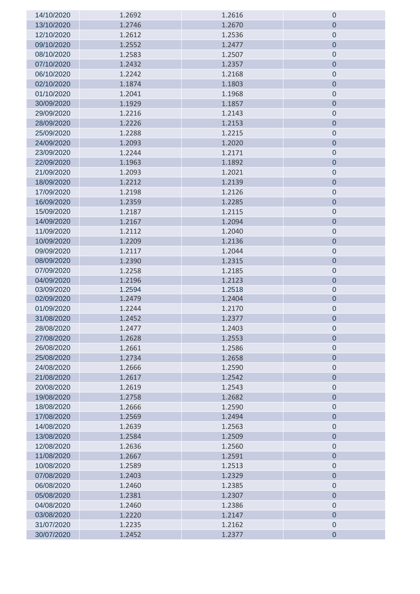| 14/10/2020 | 1.2692 | 1.2616 | $\pmb{0}$      |
|------------|--------|--------|----------------|
| 13/10/2020 | 1.2746 | 1.2670 | $\mathbf 0$    |
| 12/10/2020 | 1.2612 | 1.2536 | $\mathbf 0$    |
| 09/10/2020 | 1.2552 | 1.2477 | $\mathbf 0$    |
| 08/10/2020 | 1.2583 | 1.2507 | $\mathbf 0$    |
| 07/10/2020 | 1.2432 | 1.2357 | $\mathbf 0$    |
| 06/10/2020 | 1.2242 | 1.2168 | $\mathbf 0$    |
| 02/10/2020 | 1.1874 | 1.1803 | $\mathbf 0$    |
| 01/10/2020 | 1.2041 | 1.1968 | $\mathbf 0$    |
| 30/09/2020 | 1.1929 | 1.1857 | $\mathbf 0$    |
| 29/09/2020 | 1.2216 | 1.2143 | $\mathbf 0$    |
| 28/09/2020 | 1.2226 | 1.2153 | $\mathbf 0$    |
| 25/09/2020 | 1.2288 | 1.2215 | $\mathbf 0$    |
| 24/09/2020 | 1.2093 | 1.2020 | $\mathbf 0$    |
| 23/09/2020 | 1.2244 | 1.2171 | $\pmb{0}$      |
| 22/09/2020 | 1.1963 | 1.1892 | $\overline{0}$ |
| 21/09/2020 | 1.2093 | 1.2021 | $\mathbf 0$    |
| 18/09/2020 | 1.2212 | 1.2139 | $\mathbf 0$    |
| 17/09/2020 | 1.2198 | 1.2126 | $\mathbf 0$    |
| 16/09/2020 | 1.2359 | 1.2285 | $\mathbf 0$    |
| 15/09/2020 | 1.2187 | 1.2115 | $\pmb{0}$      |
| 14/09/2020 | 1.2167 | 1.2094 | $\overline{0}$ |
| 11/09/2020 | 1.2112 | 1.2040 | $\pmb{0}$      |
| 10/09/2020 | 1.2209 | 1.2136 | $\mathbf 0$    |
| 09/09/2020 | 1.2117 | 1.2044 | $\mathbf 0$    |
| 08/09/2020 | 1.2390 | 1.2315 | $\mathbf 0$    |
| 07/09/2020 | 1.2258 | 1.2185 | $\mathbf 0$    |
| 04/09/2020 | 1.2196 | 1.2123 | $\overline{0}$ |
| 03/09/2020 | 1.2594 | 1.2518 | $\pmb{0}$      |
| 02/09/2020 | 1.2479 | 1.2404 | $\pmb{0}$      |
| 01/09/2020 | 1.2244 | 1.2170 | $\pmb{0}$      |
| 31/08/2020 | 1.2452 | 1.2377 | $\mathbf 0$    |
| 28/08/2020 | 1.2477 | 1.2403 | $\pmb{0}$      |
| 27/08/2020 | 1.2628 | 1.2553 | $\mathbf 0$    |
| 26/08/2020 | 1.2661 | 1.2586 | $\mathbf 0$    |
| 25/08/2020 | 1.2734 | 1.2658 | $\mathbf 0$    |
| 24/08/2020 | 1.2666 | 1.2590 | $\pmb{0}$      |
| 21/08/2020 | 1.2617 | 1.2542 | $\overline{0}$ |
| 20/08/2020 | 1.2619 | 1.2543 | $\pmb{0}$      |
| 19/08/2020 | 1.2758 | 1.2682 | $\overline{0}$ |
| 18/08/2020 | 1.2666 | 1.2590 | $\pmb{0}$      |
| 17/08/2020 | 1.2569 | 1.2494 | $\mathbf 0$    |
| 14/08/2020 | 1.2639 | 1.2563 | $\pmb{0}$      |
| 13/08/2020 | 1.2584 | 1.2509 | $\mathbf 0$    |
| 12/08/2020 | 1.2636 | 1.2560 | $\mathbf 0$    |
| 11/08/2020 | 1.2667 | 1.2591 | $\mathbf 0$    |
| 10/08/2020 | 1.2589 | 1.2513 | $\pmb{0}$      |
| 07/08/2020 | 1.2403 | 1.2329 | $\overline{0}$ |
| 06/08/2020 | 1.2460 | 1.2385 | $\mathbf 0$    |
| 05/08/2020 | 1.2381 | 1.2307 | $\mathbf 0$    |
| 04/08/2020 | 1.2460 | 1.2386 | $\mathbf 0$    |
| 03/08/2020 | 1.2220 | 1.2147 | $\mathbf 0$    |
| 31/07/2020 | 1.2235 | 1.2162 | $\pmb{0}$      |
| 30/07/2020 | 1.2452 | 1.2377 | $\mathbf 0$    |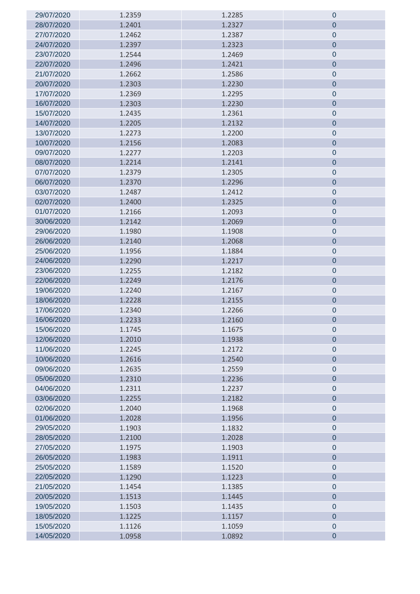| 29/07/2020 | 1.2359 | 1.2285 | 0                |
|------------|--------|--------|------------------|
| 28/07/2020 | 1.2401 | 1.2327 | $\mathbf 0$      |
| 27/07/2020 | 1.2462 | 1.2387 | $\mathbf 0$      |
| 24/07/2020 | 1.2397 | 1.2323 | $\mathbf 0$      |
| 23/07/2020 | 1.2544 | 1.2469 | $\mathbf 0$      |
| 22/07/2020 | 1.2496 | 1.2421 | $\mathbf 0$      |
| 21/07/2020 | 1.2662 | 1.2586 | $\mathbf 0$      |
| 20/07/2020 | 1.2303 | 1.2230 | $\theta$         |
| 17/07/2020 | 1.2369 | 1.2295 | $\mathbf 0$      |
| 16/07/2020 | 1.2303 | 1.2230 | $\mathbf 0$      |
| 15/07/2020 | 1.2435 | 1.2361 | $\theta$         |
| 14/07/2020 | 1.2205 | 1.2132 | $\mathbf 0$      |
| 13/07/2020 | 1.2273 | 1.2200 | $\pmb{0}$        |
| 10/07/2020 | 1.2156 | 1.2083 | $\mathbf 0$      |
| 09/07/2020 | 1.2277 | 1.2203 | $\mathbf 0$      |
| 08/07/2020 | 1.2214 | 1.2141 | $\mathbf 0$      |
| 07/07/2020 | 1.2379 | 1.2305 | $\mathbf 0$      |
| 06/07/2020 | 1.2370 | 1.2296 | $\mathbf 0$      |
| 03/07/2020 | 1.2487 | 1.2412 | $\mathbf 0$      |
| 02/07/2020 | 1.2400 | 1.2325 | $\mathbf 0$      |
| 01/07/2020 | 1.2166 | 1.2093 | $\mathbf 0$      |
| 30/06/2020 | 1.2142 | 1.2069 | $\mathbf 0$      |
| 29/06/2020 | 1.1980 | 1.1908 | $\mathbf 0$      |
| 26/06/2020 | 1.2140 | 1.2068 | $\theta$         |
| 25/06/2020 | 1.1956 | 1.1884 | $\mathbf 0$      |
| 24/06/2020 | 1.2290 | 1.2217 | $\mathbf 0$      |
| 23/06/2020 | 1.2255 | 1.2182 | $\mathbf 0$      |
| 22/06/2020 | 1.2249 | 1.2176 | $\mathbf 0$      |
| 19/06/2020 | 1.2240 | 1.2167 | $\mathbf 0$      |
| 18/06/2020 | 1.2228 | 1.2155 | $\boldsymbol{0}$ |
| 17/06/2020 | 1.2340 | 1.2266 | $\mathbf 0$      |
| 16/06/2020 | 1.2233 | 1.2160 | $\mathbf 0$      |
| 15/06/2020 | 1.1745 | 1.1675 | 0                |
| 12/06/2020 | 1.2010 | 1.1938 | $\mathbf 0$      |
| 11/06/2020 | 1.2245 | 1.2172 | $\mathbf 0$      |
| 10/06/2020 | 1.2616 | 1.2540 | $\theta$         |
| 09/06/2020 | 1.2635 | 1.2559 | $\mathbf 0$      |
| 05/06/2020 | 1.2310 | 1.2236 | $\mathbf 0$      |
| 04/06/2020 | 1.2311 | 1.2237 | $\mathbf 0$      |
| 03/06/2020 | 1.2255 | 1.2182 | $\overline{0}$   |
| 02/06/2020 | 1.2040 | 1.1968 | $\mathbf 0$      |
| 01/06/2020 | 1.2028 | 1.1956 | $\mathbf 0$      |
| 29/05/2020 | 1.1903 | 1.1832 | $\mathbf 0$      |
| 28/05/2020 | 1.2100 | 1.2028 | $\mathbf 0$      |
| 27/05/2020 | 1.1975 | 1.1903 | $\mathbf 0$      |
| 26/05/2020 | 1.1983 | 1.1911 | $\mathbf 0$      |
| 25/05/2020 | 1.1589 | 1.1520 | $\mathbf 0$      |
| 22/05/2020 | 1.1290 | 1.1223 | $\mathbf 0$      |
| 21/05/2020 | 1.1454 | 1.1385 | $\mathbf 0$      |
| 20/05/2020 | 1.1513 | 1.1445 | $\mathbf 0$      |
| 19/05/2020 | 1.1503 | 1.1435 | $\mathbf 0$      |
| 18/05/2020 | 1.1225 | 1.1157 | $\mathbf 0$      |
| 15/05/2020 | 1.1126 | 1.1059 | $\mathbf 0$      |
| 14/05/2020 | 1.0958 | 1.0892 | $\mathbf 0$      |
|            |        |        |                  |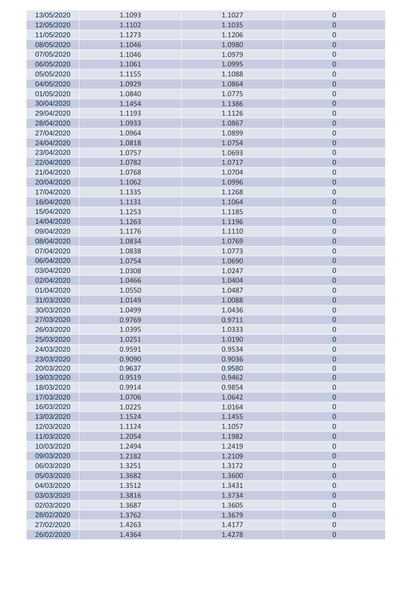| 13/05/2020 | 1.1093 | 1.1027 | $\pmb{0}$      |
|------------|--------|--------|----------------|
| 12/05/2020 | 1.1102 | 1.1035 | $\mathbf 0$    |
| 11/05/2020 | 1.1273 | 1.1206 | $\mathbf 0$    |
| 08/05/2020 | 1.1046 | 1.0980 | $\mathbf 0$    |
| 07/05/2020 | 1.1046 | 1.0979 | $\mathbf 0$    |
| 06/05/2020 | 1.1061 | 1.0995 | $\mathbf 0$    |
| 05/05/2020 | 1.1155 | 1.1088 | $\mathbf 0$    |
| 04/05/2020 | 1.0929 | 1.0864 | $\mathbf 0$    |
| 01/05/2020 | 1.0840 | 1.0775 | $\pmb{0}$      |
| 30/04/2020 | 1.1454 | 1.1386 | $\mathbf 0$    |
| 29/04/2020 | 1.1193 | 1.1126 | $\pmb{0}$      |
| 28/04/2020 | 1.0933 | 1.0867 | $\mathbf 0$    |
| 27/04/2020 | 1.0964 | 1.0899 | $\mathbf 0$    |
| 24/04/2020 | 1.0818 | 1.0754 | $\mathbf 0$    |
| 23/04/2020 | 1.0757 | 1.0693 | $\pmb{0}$      |
| 22/04/2020 | 1.0782 | 1.0717 | $\overline{0}$ |
| 21/04/2020 | 1.0768 | 1.0704 | $\pmb{0}$      |
| 20/04/2020 | 1.1062 | 1.0996 | $\mathbf 0$    |
| 17/04/2020 | 1.1335 | 1.1268 | $\mathbf 0$    |
| 16/04/2020 | 1.1131 | 1.1064 | $\mathbf 0$    |
| 15/04/2020 | 1.1253 | 1.1185 | $\pmb{0}$      |
| 14/04/2020 | 1.1263 | 1.1196 | $\overline{0}$ |
| 09/04/2020 | 1.1176 | 1.1110 | $\pmb{0}$      |
| 08/04/2020 | 1.0834 | 1.0769 | $\mathbf 0$    |
| 07/04/2020 | 1.0838 | 1.0773 | $\mathbf 0$    |
| 06/04/2020 | 1.0754 | 1.0690 | $\pmb{0}$      |
| 03/04/2020 | 1.0308 | 1.0247 | $\mathbf 0$    |
| 02/04/2020 | 1.0466 | 1.0404 | $\overline{0}$ |
| 01/04/2020 | 1.0550 | 1.0487 | $\pmb{0}$      |
| 31/03/2020 | 1.0149 | 1.0088 | $\mathbf 0$    |
| 30/03/2020 | 1.0499 | 1.0436 | $\pmb{0}$      |
| 27/03/2020 | 0.9769 | 0.9711 | $\pmb{0}$      |
| 26/03/2020 | 1.0395 | 1.0333 | 0              |
| 25/03/2020 | 1.0251 | 1.0190 | $\mathbf 0$    |
| 24/03/2020 | 0.9591 | 0.9534 | $\mathbf 0$    |
| 23/03/2020 | 0.9090 | 0.9036 | $\overline{0}$ |
| 20/03/2020 | 0.9637 | 0.9580 | $\mathbf 0$    |
| 19/03/2020 | 0.9519 | 0.9462 | $\overline{0}$ |
| 18/03/2020 | 0.9914 | 0.9854 | $\mathbf 0$    |
| 17/03/2020 | 1.0706 | 1.0642 | $\overline{0}$ |
| 16/03/2020 | 1.0225 | 1.0164 | $\mathbf 0$    |
| 13/03/2020 | 1.1524 | 1.1455 | $\mathbf 0$    |
| 12/03/2020 | 1.1124 | 1.1057 | $\mathbf 0$    |
| 11/03/2020 | 1.2054 | 1.1982 | $\mathbf 0$    |
| 10/03/2020 | 1.2494 | 1.2419 | $\mathbf 0$    |
| 09/03/2020 | 1.2182 | 1.2109 | $\mathbf 0$    |
| 06/03/2020 | 1.3251 | 1.3172 | $\mathbf 0$    |
| 05/03/2020 | 1.3682 | 1.3600 | $\overline{0}$ |
| 04/03/2020 | 1.3512 | 1.3431 | $\mathbf 0$    |
| 03/03/2020 | 1.3816 | 1.3734 | $\mathbf 0$    |
| 02/03/2020 | 1.3687 | 1.3605 | $\mathbf 0$    |
| 28/02/2020 | 1.3762 | 1.3679 | $\mathbf 0$    |
| 27/02/2020 | 1.4263 | 1.4177 | $\pmb{0}$      |
| 26/02/2020 | 1.4364 | 1.4278 | $\mathbf 0$    |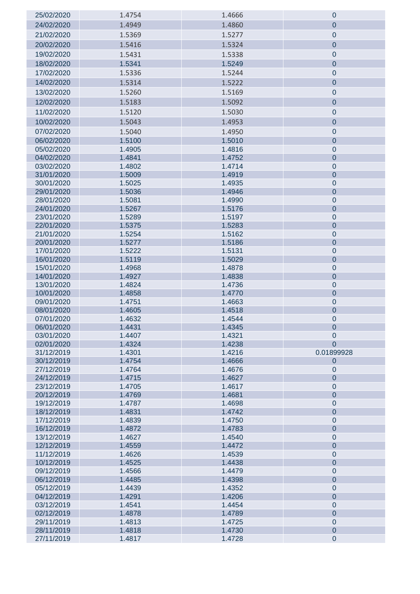| 25/02/2020               | 1.4754           | 1.4666           | 0                             |
|--------------------------|------------------|------------------|-------------------------------|
| 24/02/2020               | 1.4949           | 1.4860           | $\overline{0}$                |
| 21/02/2020               | 1.5369           | 1.5277           | $\pmb{0}$                     |
| 20/02/2020               | 1.5416           | 1.5324           | $\overline{0}$                |
| 19/02/2020               |                  |                  |                               |
|                          | 1.5431           | 1.5338           | $\pmb{0}$                     |
| 18/02/2020               | 1.5341           | 1.5249           | $\overline{0}$                |
| 17/02/2020               | 1.5336           | 1.5244           | $\pmb{0}$                     |
| 14/02/2020               | 1.5314           | 1.5222           | $\overline{0}$                |
| 13/02/2020               | 1.5260           | 1.5169           | $\pmb{0}$                     |
| 12/02/2020               | 1.5183           | 1.5092           | $\overline{0}$                |
| 11/02/2020               | 1.5120           | 1.5030           | 0                             |
| 10/02/2020               | 1.5043           | 1.4953           | $\mathbf 0$                   |
| 07/02/2020               | 1.5040           | 1.4950           | $\mathbf 0$                   |
| 06/02/2020               | 1.5100           | 1.5010           | $\overline{0}$                |
| 05/02/2020               | 1.4905           | 1.4816           | $\mathbf 0$                   |
| 04/02/2020               | 1.4841           | 1.4752           | $\overline{0}$                |
| 03/02/2020               | 1.4802           | 1.4714           | $\mathbf 0$                   |
| 31/01/2020               | 1.5009           | 1.4919           | $\overline{0}$                |
| 30/01/2020               | 1.5025           | 1.4935           | $\mathbf 0$                   |
| 29/01/2020               | 1.5036           | 1.4946           | $\overline{0}$                |
| 28/01/2020               | 1.5081           | 1.4990           | $\mathbf 0$                   |
| 24/01/2020               | 1.5267           | 1.5176           | $\mathbf 0$                   |
| 23/01/2020               | 1.5289           | 1.5197           | $\pmb{0}$                     |
| 22/01/2020               | 1.5375           | 1.5283           | $\mathbf 0$                   |
| 21/01/2020               | 1.5254           | 1.5162           | $\mathbf 0$                   |
| 20/01/2020               | 1.5277           | 1.5186           | $\mathbf 0$                   |
| 17/01/2020               | 1.5222           | 1.5131           | $\mathbf 0$                   |
| 16/01/2020               | 1.5119           | 1.5029           | $\overline{0}$                |
| 15/01/2020               | 1.4968           | 1.4878           | $\mathbf 0$                   |
| 14/01/2020               | 1.4927           | 1.4838           | $\mathbf 0$                   |
| 13/01/2020               | 1.4824           | 1.4736           | $\pmb{0}$                     |
| 10/01/2020               | 1.4858           | 1.4770           | $\mathbf 0$                   |
| 09/01/2020               | 1.4751           | 1.4663           | $\pmb{0}$                     |
| 08/01/2020<br>07/01/2020 | 1.4605<br>1.4632 | 1.4518           | $\mathbf 0$                   |
| 06/01/2020               | 1.4431           | 1.4544<br>1.4345 | $\mathbf 0$<br>$\pmb{0}$      |
| 03/01/2020               | 1.4407           | 1.4321           | $\mathbf 0$                   |
| 02/01/2020               | 1.4324           | 1.4238           | $\overline{0}$                |
| 31/12/2019               | 1.4301           | 1.4216           | 0.01899928                    |
| 30/12/2019               | 1.4754           | 1.4666           | $\mathbf 0$                   |
| 27/12/2019               | 1.4764           | 1.4676           | $\mathbf 0$                   |
| 24/12/2019               | 1.4715           | 1.4627           | $\overline{0}$                |
| 23/12/2019               | 1.4705           | 1.4617           | $\mathbf 0$                   |
| 20/12/2019               | 1.4769           | 1.4681           | $\overline{0}$                |
| 19/12/2019               | 1.4787           | 1.4698           | $\mathbf 0$                   |
| 18/12/2019               | 1.4831           | 1.4742           | $\overline{0}$                |
| 17/12/2019               | 1.4839           | 1.4750           | $\mathbf 0$                   |
| 16/12/2019               | 1.4872           | 1.4783           | $\overline{0}$                |
| 13/12/2019               | 1.4627           | 1.4540           | $\mathbf 0$                   |
| 12/12/2019               | 1.4559           | 1.4472           | $\overline{0}$                |
| 11/12/2019               | 1.4626           | 1.4539           | $\mathbf 0$                   |
| 10/12/2019               | 1.4525           | 1.4438           | $\overline{0}$                |
| 09/12/2019               | 1.4566           | 1.4479           | $\mathbf 0$                   |
| 06/12/2019               | 1.4485           | 1.4398           | $\overline{0}$                |
| 05/12/2019               | 1.4439           | 1.4352           | $\mathbf 0$                   |
| 04/12/2019               | 1.4291           | 1.4206           | $\overline{0}$                |
| 03/12/2019<br>02/12/2019 | 1.4541<br>1.4878 | 1.4454<br>1.4789 | $\mathbf 0$<br>$\overline{0}$ |
| 29/11/2019               | 1.4813           | 1.4725           | $\mathbf 0$                   |
| 28/11/2019               | 1.4818           | 1.4730           | $\mathbf 0$                   |
| 27/11/2019               | 1.4817           | 1.4728           | $\mathbf 0$                   |
|                          |                  |                  |                               |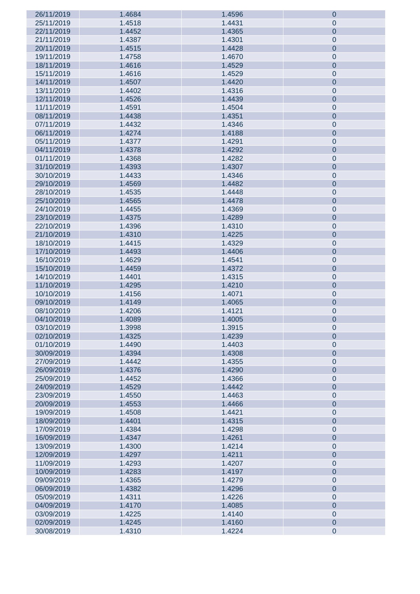| 26/11/2019 | 1.4684 | 1.4596 | $\boldsymbol{0}$ |
|------------|--------|--------|------------------|
| 25/11/2019 | 1.4518 | 1.4431 | $\pmb{0}$        |
| 22/11/2019 | 1.4452 | 1.4365 | $\pmb{0}$        |
| 21/11/2019 | 1.4387 | 1.4301 | $\mathbf 0$      |
| 20/11/2019 | 1.4515 | 1.4428 | $\pmb{0}$        |
| 19/11/2019 | 1.4758 | 1.4670 | $\mathbf 0$      |
| 18/11/2019 | 1.4616 | 1.4529 | $\pmb{0}$        |
|            |        |        |                  |
| 15/11/2019 | 1.4616 | 1.4529 | $\mathbf 0$      |
| 14/11/2019 | 1.4507 | 1.4420 | $\pmb{0}$        |
| 13/11/2019 | 1.4402 | 1.4316 | $\mathbf 0$      |
| 12/11/2019 | 1.4526 | 1.4439 | $\pmb{0}$        |
| 11/11/2019 | 1.4591 | 1.4504 | $\mathbf 0$      |
| 08/11/2019 | 1.4438 | 1.4351 | $\pmb{0}$        |
| 07/11/2019 | 1.4432 | 1.4346 | $\mathbf 0$      |
| 06/11/2019 | 1.4274 | 1.4188 | $\pmb{0}$        |
| 05/11/2019 | 1.4377 | 1.4291 | $\mathbf 0$      |
| 04/11/2019 | 1.4378 | 1.4292 | $\pmb{0}$        |
| 01/11/2019 | 1.4368 | 1.4282 | $\mathbf 0$      |
| 31/10/2019 | 1.4393 | 1.4307 | $\pmb{0}$        |
| 30/10/2019 | 1.4433 | 1.4346 | $\mathbf 0$      |
| 29/10/2019 | 1.4569 | 1.4482 | $\pmb{0}$        |
| 28/10/2019 | 1.4535 | 1.4448 | $\mathbf 0$      |
| 25/10/2019 | 1.4565 | 1.4478 | $\pmb{0}$        |
|            |        |        |                  |
| 24/10/2019 | 1.4455 | 1.4369 | $\mathbf 0$      |
| 23/10/2019 | 1.4375 | 1.4289 | $\pmb{0}$        |
| 22/10/2019 | 1.4396 | 1.4310 | $\mathbf 0$      |
| 21/10/2019 | 1.4310 | 1.4225 | $\pmb{0}$        |
| 18/10/2019 | 1.4415 | 1.4329 | $\mathbf 0$      |
| 17/10/2019 | 1.4493 | 1.4406 | $\pmb{0}$        |
| 16/10/2019 | 1.4629 | 1.4541 | $\mathbf 0$      |
| 15/10/2019 | 1.4459 | 1.4372 | $\pmb{0}$        |
| 14/10/2019 | 1.4401 | 1.4315 | $\mathbf 0$      |
| 11/10/2019 | 1.4295 | 1.4210 | $\pmb{0}$        |
| 10/10/2019 | 1.4156 | 1.4071 | $\mathbf 0$      |
| 09/10/2019 | 1.4149 | 1.4065 | $\pmb{0}$        |
| 08/10/2019 | 1.4206 | 1.4121 | $\pmb{0}$        |
| 04/10/2019 | 1.4089 | 1.4005 | $\pmb{0}$        |
| 03/10/2019 | 1.3998 | 1.3915 | $\pmb{0}$        |
| 02/10/2019 | 1.4325 | 1.4239 | $\mathbf 0$      |
| 01/10/2019 | 1.4490 | 1.4403 | $\pmb{0}$        |
| 30/09/2019 | 1.4394 | 1.4308 | $\pmb{0}$        |
|            |        |        |                  |
| 27/09/2019 | 1.4442 | 1.4355 | $\pmb{0}$        |
| 26/09/2019 | 1.4376 | 1.4290 | $\pmb{0}$        |
| 25/09/2019 | 1.4452 | 1.4366 | $\pmb{0}$        |
| 24/09/2019 | 1.4529 | 1.4442 | $\pmb{0}$        |
| 23/09/2019 | 1.4550 | 1.4463 | $\pmb{0}$        |
| 20/09/2019 | 1.4553 | 1.4466 | $\pmb{0}$        |
| 19/09/2019 | 1.4508 | 1.4421 | $\pmb{0}$        |
| 18/09/2019 | 1.4401 | 1.4315 | $\pmb{0}$        |
| 17/09/2019 | 1.4384 | 1.4298 | $\pmb{0}$        |
| 16/09/2019 | 1.4347 | 1.4261 | $\pmb{0}$        |
| 13/09/2019 | 1.4300 | 1.4214 | $\pmb{0}$        |
| 12/09/2019 | 1.4297 | 1.4211 | $\pmb{0}$        |
| 11/09/2019 | 1.4293 | 1.4207 | $\pmb{0}$        |
| 10/09/2019 | 1.4283 | 1.4197 | $\pmb{0}$        |
| 09/09/2019 | 1.4365 | 1.4279 | $\pmb{0}$        |
| 06/09/2019 | 1.4382 | 1.4296 | $\pmb{0}$        |
| 05/09/2019 | 1.4311 | 1.4226 | $\pmb{0}$        |
| 04/09/2019 | 1.4170 | 1.4085 | $\pmb{0}$        |
| 03/09/2019 | 1.4225 | 1.4140 | $\pmb{0}$        |
|            | 1.4245 | 1.4160 | $\pmb{0}$        |
| 02/09/2019 |        |        |                  |
| 30/08/2019 | 1.4310 | 1.4224 | $\pmb{0}$        |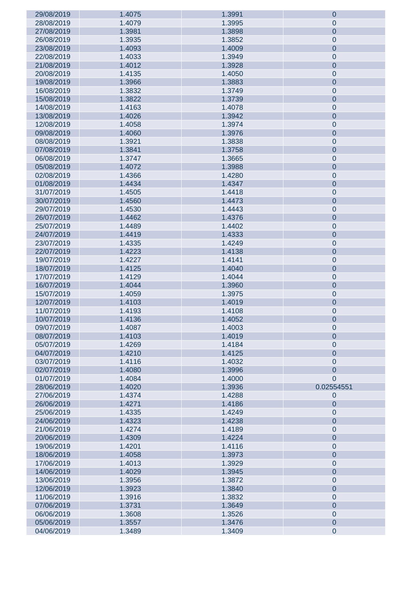| 29/08/2019 | 1.4075 | 1.3991 | $\boldsymbol{0}$ |
|------------|--------|--------|------------------|
| 28/08/2019 | 1.4079 | 1.3995 | $\pmb{0}$        |
| 27/08/2019 | 1.3981 | 1.3898 | $\pmb{0}$        |
| 26/08/2019 | 1.3935 | 1.3852 | $\mathbf 0$      |
| 23/08/2019 | 1.4093 | 1.4009 | $\pmb{0}$        |
|            |        |        |                  |
| 22/08/2019 | 1.4033 | 1.3949 | $\mathbf 0$      |
| 21/08/2019 | 1.4012 | 1.3928 | $\pmb{0}$        |
| 20/08/2019 | 1.4135 | 1.4050 | $\mathbf 0$      |
| 19/08/2019 | 1.3966 | 1.3883 | $\pmb{0}$        |
| 16/08/2019 | 1.3832 | 1.3749 | $\mathbf 0$      |
| 15/08/2019 | 1.3822 | 1.3739 | $\pmb{0}$        |
| 14/08/2019 | 1.4163 | 1.4078 | $\mathbf 0$      |
| 13/08/2019 | 1.4026 | 1.3942 | $\pmb{0}$        |
| 12/08/2019 | 1.4058 | 1.3974 | $\mathbf 0$      |
|            |        |        |                  |
| 09/08/2019 | 1.4060 | 1.3976 | $\pmb{0}$        |
| 08/08/2019 | 1.3921 | 1.3838 | $\mathbf 0$      |
| 07/08/2019 | 1.3841 | 1.3758 | $\pmb{0}$        |
| 06/08/2019 | 1.3747 | 1.3665 | $\mathbf 0$      |
| 05/08/2019 | 1.4072 | 1.3988 | $\pmb{0}$        |
| 02/08/2019 | 1.4366 | 1.4280 | $\mathbf 0$      |
| 01/08/2019 | 1.4434 | 1.4347 | $\pmb{0}$        |
| 31/07/2019 | 1.4505 | 1.4418 | $\mathbf 0$      |
| 30/07/2019 | 1.4560 | 1.4473 | $\pmb{0}$        |
| 29/07/2019 | 1.4530 | 1.4443 | $\mathbf 0$      |
|            |        |        |                  |
| 26/07/2019 | 1.4462 | 1.4376 | $\pmb{0}$        |
| 25/07/2019 | 1.4489 | 1.4402 | $\mathbf 0$      |
| 24/07/2019 | 1.4419 | 1.4333 | $\pmb{0}$        |
| 23/07/2019 | 1.4335 | 1.4249 | $\mathbf 0$      |
| 22/07/2019 | 1.4223 | 1.4138 | $\pmb{0}$        |
| 19/07/2019 | 1.4227 | 1.4141 | $\pmb{0}$        |
| 18/07/2019 | 1.4125 | 1.4040 | $\pmb{0}$        |
| 17/07/2019 | 1.4129 | 1.4044 | $\mathbf 0$      |
| 16/07/2019 | 1.4044 | 1.3960 | $\pmb{0}$        |
| 15/07/2019 | 1.4059 | 1.3975 | $\mathbf 0$      |
| 12/07/2019 | 1.4103 | 1.4019 | $\pmb{0}$        |
| 11/07/2019 | 1.4193 | 1.4108 | $\pmb{0}$        |
| 10/07/2019 | 1.4136 | 1.4052 | $\pmb{0}$        |
|            |        |        |                  |
| 09/07/2019 | 1.4087 | 1.4003 | $\pmb{0}$        |
| 08/07/2019 | 1.4103 | 1.4019 | $\mathbf 0$      |
| 05/07/2019 | 1.4269 | 1.4184 | $\pmb{0}$        |
| 04/07/2019 | 1.4210 | 1.4125 | $\pmb{0}$        |
| 03/07/2019 | 1.4116 | 1.4032 | $\pmb{0}$        |
| 02/07/2019 | 1.4080 | 1.3996 | $\overline{0}$   |
| 01/07/2019 | 1.4084 | 1.4000 | $\mathbf 0$      |
| 28/06/2019 | 1.4020 | 1.3936 | 0.02554551       |
| 27/06/2019 | 1.4374 | 1.4288 | $\pmb{0}$        |
| 26/06/2019 | 1.4271 | 1.4186 | $\mathbf 0$      |
| 25/06/2019 | 1.4335 | 1.4249 | $\pmb{0}$        |
| 24/06/2019 | 1.4323 | 1.4238 | $\pmb{0}$        |
|            |        |        |                  |
| 21/06/2019 | 1.4274 | 1.4189 | $\pmb{0}$        |
| 20/06/2019 | 1.4309 | 1.4224 | $\pmb{0}$        |
| 19/06/2019 | 1.4201 | 1.4116 | $\pmb{0}$        |
| 18/06/2019 | 1.4058 | 1.3973 | $\pmb{0}$        |
| 17/06/2019 | 1.4013 | 1.3929 | $\pmb{0}$        |
| 14/06/2019 | 1.4029 | 1.3945 | $\pmb{0}$        |
| 13/06/2019 | 1.3956 | 1.3872 | $\pmb{0}$        |
| 12/06/2019 | 1.3923 | 1.3840 | $\pmb{0}$        |
| 11/06/2019 | 1.3916 | 1.3832 | $\pmb{0}$        |
| 07/06/2019 | 1.3731 | 1.3649 | $\pmb{0}$        |
| 06/06/2019 | 1.3608 | 1.3526 | $\pmb{0}$        |
| 05/06/2019 | 1.3557 | 1.3476 | $\pmb{0}$        |
|            |        |        |                  |
| 04/06/2019 | 1.3489 | 1.3409 | $\pmb{0}$        |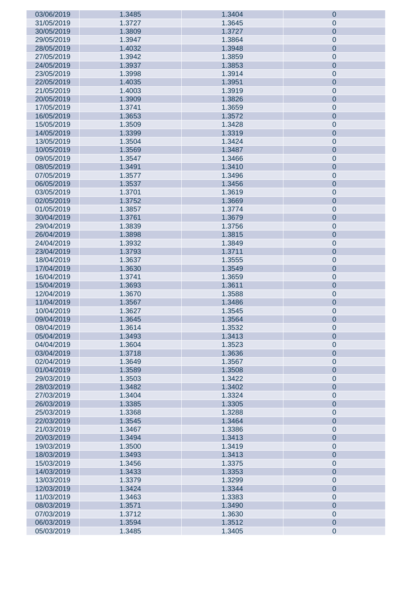| 03/06/2019 | 1.3485 | 1.3404 | $\boldsymbol{0}$ |
|------------|--------|--------|------------------|
| 31/05/2019 | 1.3727 | 1.3645 | $\pmb{0}$        |
| 30/05/2019 | 1.3809 | 1.3727 | $\pmb{0}$        |
| 29/05/2019 | 1.3947 | 1.3864 | $\mathbf 0$      |
| 28/05/2019 | 1.4032 | 1.3948 | $\pmb{0}$        |
| 27/05/2019 | 1.3942 | 1.3859 | $\mathbf 0$      |
| 24/05/2019 | 1.3937 | 1.3853 | $\pmb{0}$        |
|            |        |        |                  |
| 23/05/2019 | 1.3998 | 1.3914 | $\mathbf 0$      |
| 22/05/2019 | 1.4035 | 1.3951 | $\pmb{0}$        |
| 21/05/2019 | 1.4003 | 1.3919 | $\mathbf 0$      |
| 20/05/2019 | 1.3909 | 1.3826 | $\pmb{0}$        |
| 17/05/2019 | 1.3741 | 1.3659 | $\mathbf 0$      |
| 16/05/2019 | 1.3653 | 1.3572 | $\pmb{0}$        |
| 15/05/2019 | 1.3509 | 1.3428 | $\mathbf 0$      |
| 14/05/2019 | 1.3399 | 1.3319 | $\pmb{0}$        |
| 13/05/2019 | 1.3504 | 1.3424 | $\mathbf 0$      |
| 10/05/2019 | 1.3569 | 1.3487 | $\pmb{0}$        |
| 09/05/2019 | 1.3547 | 1.3466 | $\mathbf 0$      |
| 08/05/2019 | 1.3491 | 1.3410 | $\pmb{0}$        |
| 07/05/2019 | 1.3577 | 1.3496 | $\mathbf 0$      |
| 06/05/2019 | 1.3537 | 1.3456 | $\pmb{0}$        |
| 03/05/2019 | 1.3701 | 1.3619 | $\mathbf 0$      |
| 02/05/2019 | 1.3752 | 1.3669 | $\pmb{0}$        |
|            |        |        |                  |
| 01/05/2019 | 1.3857 | 1.3774 | $\mathbf 0$      |
| 30/04/2019 | 1.3761 | 1.3679 | $\pmb{0}$        |
| 29/04/2019 | 1.3839 | 1.3756 | $\mathbf 0$      |
| 26/04/2019 | 1.3898 | 1.3815 | $\pmb{0}$        |
| 24/04/2019 | 1.3932 | 1.3849 | $\mathbf 0$      |
| 23/04/2019 | 1.3793 | 1.3711 | $\pmb{0}$        |
| 18/04/2019 | 1.3637 | 1.3555 | $\mathbf 0$      |
| 17/04/2019 | 1.3630 | 1.3549 | $\pmb{0}$        |
| 16/04/2019 | 1.3741 | 1.3659 | $\mathbf 0$      |
| 15/04/2019 | 1.3693 | 1.3611 | $\pmb{0}$        |
| 12/04/2019 | 1.3670 | 1.3588 | $\mathbf 0$      |
| 11/04/2019 | 1.3567 | 1.3486 | $\pmb{0}$        |
| 10/04/2019 | 1.3627 | 1.3545 | $\pmb{0}$        |
| 09/04/2019 | 1.3645 | 1.3564 | $\pmb{0}$        |
| 08/04/2019 | 1.3614 | 1.3532 | $\pmb{0}$        |
| 05/04/2019 | 1.3493 | 1.3413 | $\mathbf 0$      |
| 04/04/2019 | 1.3604 | 1.3523 | $\pmb{0}$        |
| 03/04/2019 | 1.3718 | 1.3636 | $\pmb{0}$        |
| 02/04/2019 | 1.3649 | 1.3567 | $\pmb{0}$        |
|            |        |        |                  |
| 01/04/2019 | 1.3589 | 1.3508 | $\pmb{0}$        |
| 29/03/2019 | 1.3503 | 1.3422 | $\pmb{0}$        |
| 28/03/2019 | 1.3482 | 1.3402 | $\pmb{0}$        |
| 27/03/2019 | 1.3404 | 1.3324 | $\pmb{0}$        |
| 26/03/2019 | 1.3385 | 1.3305 | $\pmb{0}$        |
| 25/03/2019 | 1.3368 | 1.3288 | $\pmb{0}$        |
| 22/03/2019 | 1.3545 | 1.3464 | $\pmb{0}$        |
| 21/03/2019 | 1.3467 | 1.3386 | $\pmb{0}$        |
| 20/03/2019 | 1.3494 | 1.3413 | $\pmb{0}$        |
| 19/03/2019 | 1.3500 | 1.3419 | $\pmb{0}$        |
| 18/03/2019 | 1.3493 | 1.3413 | $\pmb{0}$        |
| 15/03/2019 | 1.3456 | 1.3375 | $\pmb{0}$        |
| 14/03/2019 | 1.3433 | 1.3353 | $\pmb{0}$        |
| 13/03/2019 | 1.3379 | 1.3299 | $\pmb{0}$        |
| 12/03/2019 | 1.3424 | 1.3344 | $\pmb{0}$        |
| 11/03/2019 | 1.3463 | 1.3383 | $\pmb{0}$        |
| 08/03/2019 | 1.3571 | 1.3490 | $\pmb{0}$        |
| 07/03/2019 | 1.3712 | 1.3630 | $\pmb{0}$        |
| 06/03/2019 | 1.3594 | 1.3512 | $\pmb{0}$        |
| 05/03/2019 | 1.3485 | 1.3405 | $\pmb{0}$        |
|            |        |        |                  |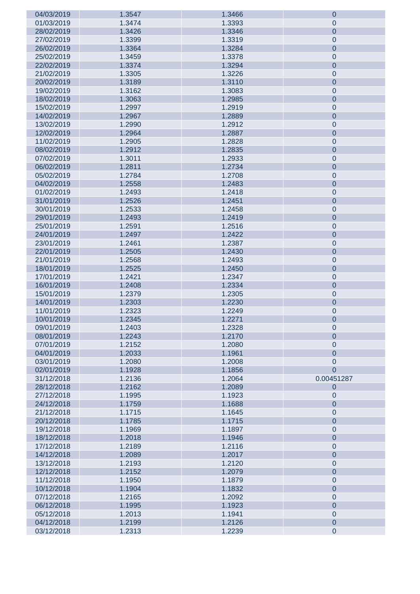| 04/03/2019 | 1.3547 | 1.3466 | $\boldsymbol{0}$ |
|------------|--------|--------|------------------|
| 01/03/2019 | 1.3474 | 1.3393 | $\pmb{0}$        |
| 28/02/2019 | 1.3426 | 1.3346 | $\pmb{0}$        |
| 27/02/2019 | 1.3399 | 1.3319 | $\pmb{0}$        |
| 26/02/2019 | 1.3364 | 1.3284 | $\pmb{0}$        |
|            |        |        |                  |
| 25/02/2019 | 1.3459 | 1.3378 | $\mathbf 0$      |
| 22/02/2019 | 1.3374 | 1.3294 | $\pmb{0}$        |
| 21/02/2019 | 1.3305 | 1.3226 | $\mathbf 0$      |
| 20/02/2019 | 1.3189 | 1.3110 | $\pmb{0}$        |
| 19/02/2019 | 1.3162 | 1.3083 | $\mathbf 0$      |
| 18/02/2019 | 1.3063 | 1.2985 | $\pmb{0}$        |
| 15/02/2019 | 1.2997 | 1.2919 | $\mathbf 0$      |
| 14/02/2019 | 1.2967 | 1.2889 | $\pmb{0}$        |
| 13/02/2019 | 1.2990 | 1.2912 | $\mathbf 0$      |
|            |        |        |                  |
| 12/02/2019 | 1.2964 | 1.2887 | $\pmb{0}$        |
| 11/02/2019 | 1.2905 | 1.2828 | $\mathbf 0$      |
| 08/02/2019 | 1.2912 | 1.2835 | $\pmb{0}$        |
| 07/02/2019 | 1.3011 | 1.2933 | $\mathbf 0$      |
| 06/02/2019 | 1.2811 | 1.2734 | $\pmb{0}$        |
| 05/02/2019 | 1.2784 | 1.2708 | $\mathbf 0$      |
| 04/02/2019 | 1.2558 | 1.2483 | $\pmb{0}$        |
| 01/02/2019 | 1.2493 | 1.2418 | $\mathbf 0$      |
| 31/01/2019 | 1.2526 | 1.2451 | $\pmb{0}$        |
| 30/01/2019 | 1.2533 | 1.2458 | $\mathbf 0$      |
|            |        |        |                  |
| 29/01/2019 | 1.2493 | 1.2419 | $\pmb{0}$        |
| 25/01/2019 | 1.2591 | 1.2516 | $\mathbf 0$      |
| 24/01/2019 | 1.2497 | 1.2422 | $\pmb{0}$        |
| 23/01/2019 | 1.2461 | 1.2387 | $\mathbf 0$      |
| 22/01/2019 | 1.2505 | 1.2430 | $\pmb{0}$        |
| 21/01/2019 | 1.2568 | 1.2493 | $\pmb{0}$        |
| 18/01/2019 | 1.2525 | 1.2450 | $\pmb{0}$        |
| 17/01/2019 | 1.2421 | 1.2347 | $\mathbf 0$      |
| 16/01/2019 | 1.2408 | 1.2334 | $\pmb{0}$        |
| 15/01/2019 | 1.2379 | 1.2305 | $\mathbf 0$      |
| 14/01/2019 | 1.2303 | 1.2230 | $\pmb{0}$        |
| 11/01/2019 | 1.2323 | 1.2249 | $\pmb{0}$        |
| 10/01/2019 | 1.2345 | 1.2271 | $\pmb{0}$        |
|            | 1.2403 |        |                  |
| 09/01/2019 |        | 1.2328 | 0                |
| 08/01/2019 | 1.2243 | 1.2170 | $\mathbf 0$      |
| 07/01/2019 | 1.2152 | 1.2080 | $\pmb{0}$        |
| 04/01/2019 | 1.2033 | 1.1961 | $\overline{0}$   |
| 03/01/2019 | 1.2080 | 1.2008 | $\pmb{0}$        |
| 02/01/2019 | 1.1928 | 1.1856 | $\overline{0}$   |
| 31/12/2018 | 1.2136 | 1.2064 | 0.00451287       |
| 28/12/2018 | 1.2162 | 1.2089 | $\pmb{0}$        |
| 27/12/2018 | 1.1995 | 1.1923 | $\pmb{0}$        |
| 24/12/2018 | 1.1759 | 1.1688 | $\pmb{0}$        |
| 21/12/2018 | 1.1715 | 1.1645 | $\pmb{0}$        |
| 20/12/2018 | 1.1785 | 1.1715 | $\pmb{0}$        |
|            |        |        |                  |
| 19/12/2018 | 1.1969 | 1.1897 | $\pmb{0}$        |
| 18/12/2018 | 1.2018 | 1.1946 | $\pmb{0}$        |
| 17/12/2018 | 1.2189 | 1.2116 | $\pmb{0}$        |
| 14/12/2018 | 1.2089 | 1.2017 | $\pmb{0}$        |
| 13/12/2018 | 1.2193 | 1.2120 | $\pmb{0}$        |
| 12/12/2018 | 1.2152 | 1.2079 | $\pmb{0}$        |
| 11/12/2018 | 1.1950 | 1.1879 | $\pmb{0}$        |
| 10/12/2018 | 1.1904 | 1.1832 | $\pmb{0}$        |
| 07/12/2018 | 1.2165 | 1.2092 | $\pmb{0}$        |
| 06/12/2018 | 1.1995 | 1.1923 | $\pmb{0}$        |
| 05/12/2018 | 1.2013 | 1.1941 | $\pmb{0}$        |
| 04/12/2018 | 1.2199 | 1.2126 | $\pmb{0}$        |
| 03/12/2018 | 1.2313 | 1.2239 | $\mathbf 0$      |
|            |        |        |                  |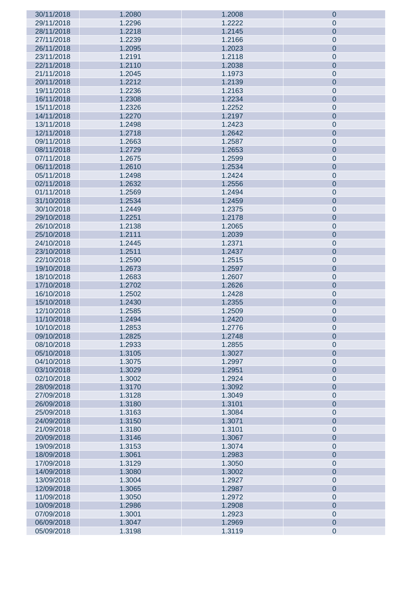| 30/11/2018 | 1.2080 | 1.2008 | $\boldsymbol{0}$ |
|------------|--------|--------|------------------|
| 29/11/2018 | 1.2296 | 1.2222 | $\pmb{0}$        |
| 28/11/2018 | 1.2218 | 1.2145 | $\pmb{0}$        |
|            |        |        |                  |
| 27/11/2018 | 1.2239 | 1.2166 | $\pmb{0}$        |
| 26/11/2018 | 1.2095 | 1.2023 | $\pmb{0}$        |
| 23/11/2018 | 1.2191 | 1.2118 | $\mathbf 0$      |
| 22/11/2018 | 1.2110 | 1.2038 | $\pmb{0}$        |
| 21/11/2018 | 1.2045 | 1.1973 | $\mathbf 0$      |
| 20/11/2018 | 1.2212 | 1.2139 | $\pmb{0}$        |
| 19/11/2018 | 1.2236 | 1.2163 | $\mathbf 0$      |
| 16/11/2018 |        |        |                  |
|            | 1.2308 | 1.2234 | $\pmb{0}$        |
| 15/11/2018 | 1.2326 | 1.2252 | $\mathbf 0$      |
| 14/11/2018 | 1.2270 | 1.2197 | $\pmb{0}$        |
| 13/11/2018 | 1.2498 | 1.2423 | $\mathbf 0$      |
| 12/11/2018 | 1.2718 | 1.2642 | $\pmb{0}$        |
| 09/11/2018 | 1.2663 | 1.2587 | $\mathbf 0$      |
| 08/11/2018 | 1.2729 | 1.2653 | $\pmb{0}$        |
| 07/11/2018 | 1.2675 | 1.2599 | $\mathbf 0$      |
|            |        |        |                  |
| 06/11/2018 | 1.2610 | 1.2534 | $\pmb{0}$        |
| 05/11/2018 | 1.2498 | 1.2424 | $\mathbf 0$      |
| 02/11/2018 | 1.2632 | 1.2556 | $\pmb{0}$        |
| 01/11/2018 | 1.2569 | 1.2494 | $\mathbf 0$      |
| 31/10/2018 | 1.2534 | 1.2459 | $\pmb{0}$        |
| 30/10/2018 | 1.2449 | 1.2375 | $\mathbf 0$      |
| 29/10/2018 | 1.2251 | 1.2178 | $\pmb{0}$        |
|            |        |        |                  |
| 26/10/2018 | 1.2138 | 1.2065 | $\mathbf 0$      |
| 25/10/2018 | 1.2111 | 1.2039 | $\pmb{0}$        |
| 24/10/2018 | 1.2445 | 1.2371 | $\mathbf 0$      |
| 23/10/2018 | 1.2511 | 1.2437 | $\pmb{0}$        |
| 22/10/2018 | 1.2590 | 1.2515 | $\pmb{0}$        |
| 19/10/2018 | 1.2673 | 1.2597 | $\pmb{0}$        |
| 18/10/2018 | 1.2683 | 1.2607 | $\pmb{0}$        |
|            |        |        |                  |
| 17/10/2018 | 1.2702 | 1.2626 | $\pmb{0}$        |
| 16/10/2018 | 1.2502 | 1.2428 | $\pmb{0}$        |
| 15/10/2018 | 1.2430 | 1.2355 | $\pmb{0}$        |
| 12/10/2018 | 1.2585 | 1.2509 | $\mathbf 0$      |
| 11/10/2018 | 1.2494 | 1.2420 | $\mathbf 0$      |
| 10/10/2018 | 1.2853 | 1.2776 | $\pmb{0}$        |
| 09/10/2018 | 1.2825 | 1.2748 | $\mathbf 0$      |
| 08/10/2018 | 1.2933 | 1.2855 |                  |
| 05/10/2018 | 1.3105 |        |                  |
|            |        |        | $\pmb{0}$        |
| 04/10/2018 |        | 1.3027 | $\pmb{0}$        |
|            | 1.3075 | 1.2997 | $\pmb{0}$        |
| 03/10/2018 | 1.3029 | 1.2951 | $\pmb{0}$        |
| 02/10/2018 | 1.3002 | 1.2924 | $\pmb{0}$        |
| 28/09/2018 | 1.3170 | 1.3092 | $\pmb{0}$        |
| 27/09/2018 | 1.3128 | 1.3049 |                  |
|            |        |        | $\pmb{0}$        |
| 26/09/2018 | 1.3180 | 1.3101 | $\pmb{0}$        |
| 25/09/2018 | 1.3163 | 1.3084 | $\pmb{0}$        |
| 24/09/2018 | 1.3150 | 1.3071 | $\pmb{0}$        |
| 21/09/2018 | 1.3180 | 1.3101 | $\pmb{0}$        |
| 20/09/2018 | 1.3146 | 1.3067 | $\pmb{0}$        |
| 19/09/2018 | 1.3153 | 1.3074 | $\pmb{0}$        |
| 18/09/2018 | 1.3061 | 1.2983 | $\pmb{0}$        |
| 17/09/2018 | 1.3129 | 1.3050 | $\pmb{0}$        |
|            |        |        |                  |
| 14/09/2018 | 1.3080 | 1.3002 | $\pmb{0}$        |
| 13/09/2018 | 1.3004 | 1.2927 | $\pmb{0}$        |
| 12/09/2018 | 1.3065 | 1.2987 | $\pmb{0}$        |
| 11/09/2018 | 1.3050 | 1.2972 | $\pmb{0}$        |
| 10/09/2018 | 1.2986 | 1.2908 | $\pmb{0}$        |
| 07/09/2018 | 1.3001 | 1.2923 | $\pmb{0}$        |
| 06/09/2018 | 1.3047 | 1.2969 | $\pmb{0}$        |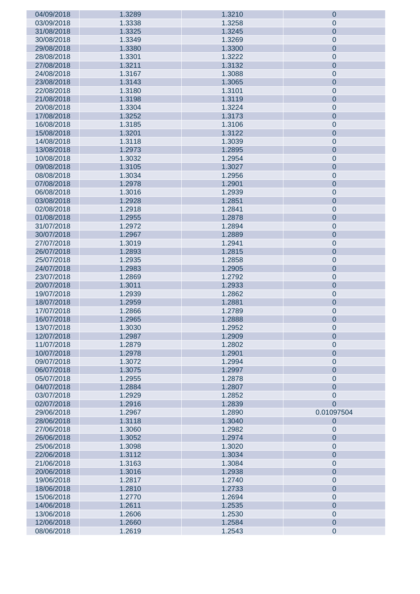| 04/09/2018 | 1.3289 | 1.3210 | $\boldsymbol{0}$ |
|------------|--------|--------|------------------|
| 03/09/2018 | 1.3338 | 1.3258 | $\pmb{0}$        |
| 31/08/2018 | 1.3325 | 1.3245 | $\pmb{0}$        |
|            |        |        |                  |
| 30/08/2018 | 1.3349 | 1.3269 | $\pmb{0}$        |
| 29/08/2018 | 1.3380 | 1.3300 | $\pmb{0}$        |
| 28/08/2018 | 1.3301 | 1.3222 | $\pmb{0}$        |
| 27/08/2018 | 1.3211 | 1.3132 | $\pmb{0}$        |
| 24/08/2018 | 1.3167 | 1.3088 | $\mathbf 0$      |
| 23/08/2018 | 1.3143 | 1.3065 | $\pmb{0}$        |
| 22/08/2018 | 1.3180 | 1.3101 | $\mathbf 0$      |
|            |        |        |                  |
| 21/08/2018 | 1.3198 | 1.3119 | $\pmb{0}$        |
| 20/08/2018 | 1.3304 | 1.3224 | $\pmb{0}$        |
| 17/08/2018 | 1.3252 | 1.3173 | $\pmb{0}$        |
| 16/08/2018 | 1.3185 | 1.3106 | $\mathbf 0$      |
| 15/08/2018 | 1.3201 | 1.3122 | $\pmb{0}$        |
| 14/08/2018 | 1.3118 | 1.3039 | $\mathbf 0$      |
| 13/08/2018 | 1.2973 | 1.2895 | $\pmb{0}$        |
| 10/08/2018 | 1.3032 | 1.2954 | $\pmb{0}$        |
|            |        |        |                  |
| 09/08/2018 | 1.3105 | 1.3027 | $\pmb{0}$        |
| 08/08/2018 | 1.3034 | 1.2956 | $\mathbf 0$      |
| 07/08/2018 | 1.2978 | 1.2901 | $\pmb{0}$        |
| 06/08/2018 | 1.3016 | 1.2939 | $\mathbf 0$      |
| 03/08/2018 | 1.2928 | 1.2851 | $\pmb{0}$        |
| 02/08/2018 | 1.2918 | 1.2841 | $\mathbf 0$      |
| 01/08/2018 | 1.2955 | 1.2878 | $\pmb{0}$        |
|            |        |        |                  |
| 31/07/2018 | 1.2972 | 1.2894 | $\mathbf 0$      |
| 30/07/2018 | 1.2967 | 1.2889 | $\pmb{0}$        |
| 27/07/2018 | 1.3019 | 1.2941 | $\pmb{0}$        |
| 26/07/2018 | 1.2893 | 1.2815 | $\pmb{0}$        |
| 25/07/2018 | 1.2935 | 1.2858 | $\pmb{0}$        |
| 24/07/2018 | 1.2983 | 1.2905 | $\pmb{0}$        |
| 23/07/2018 | 1.2869 | 1.2792 | $\pmb{0}$        |
| 20/07/2018 | 1.3011 | 1.2933 | $\pmb{0}$        |
|            |        |        |                  |
| 19/07/2018 | 1.2939 | 1.2862 | $\pmb{0}$        |
| 18/07/2018 | 1.2959 | 1.2881 | $\pmb{0}$        |
| 17/07/2018 | 1.2866 | 1.2789 | $\pmb{0}$        |
| 16/07/2018 | 1.2965 | 1.2888 | $\pmb{0}$        |
| 13/07/2018 | 1.3030 | 1.2952 | $\mathbf 0$      |
| 12/07/2018 | 1.2987 | 1.2909 | $\mathbf 0$      |
| 11/07/2018 | 1.2879 | 1.2802 | $\pmb{0}$        |
| 10/07/2018 | 1.2978 | 1.2901 | $\pmb{0}$        |
|            | 1.3072 |        |                  |
| 09/07/2018 |        | 1.2994 | $\pmb{0}$        |
| 06/07/2018 | 1.3075 | 1.2997 | $\pmb{0}$        |
| 05/07/2018 | 1.2955 | 1.2878 | $\pmb{0}$        |
| 04/07/2018 | 1.2884 | 1.2807 | $\overline{0}$   |
| 03/07/2018 | 1.2929 | 1.2852 | $\pmb{0}$        |
| 02/07/2018 | 1.2916 | 1.2839 | $\overline{0}$   |
| 29/06/2018 | 1.2967 | 1.2890 | 0.01097504       |
| 28/06/2018 | 1.3118 | 1.3040 | $\pmb{0}$        |
| 27/06/2018 | 1.3060 | 1.2982 | $\pmb{0}$        |
|            |        |        |                  |
| 26/06/2018 | 1.3052 | 1.2974 | $\pmb{0}$        |
| 25/06/2018 | 1.3098 | 1.3020 | $\pmb{0}$        |
| 22/06/2018 | 1.3112 | 1.3034 | $\pmb{0}$        |
| 21/06/2018 | 1.3163 | 1.3084 | $\pmb{0}$        |
| 20/06/2018 | 1.3016 | 1.2938 | $\pmb{0}$        |
| 19/06/2018 | 1.2817 | 1.2740 | $\pmb{0}$        |
| 18/06/2018 | 1.2810 | 1.2733 | $\pmb{0}$        |
| 15/06/2018 | 1.2770 | 1.2694 | $\pmb{0}$        |
|            |        |        |                  |
| 14/06/2018 | 1.2611 | 1.2535 | $\pmb{0}$        |
| 13/06/2018 | 1.2606 | 1.2530 | $\pmb{0}$        |
| 12/06/2018 | 1.2660 | 1.2584 | $\pmb{0}$        |
| 08/06/2018 | 1.2619 | 1.2543 | $\pmb{0}$        |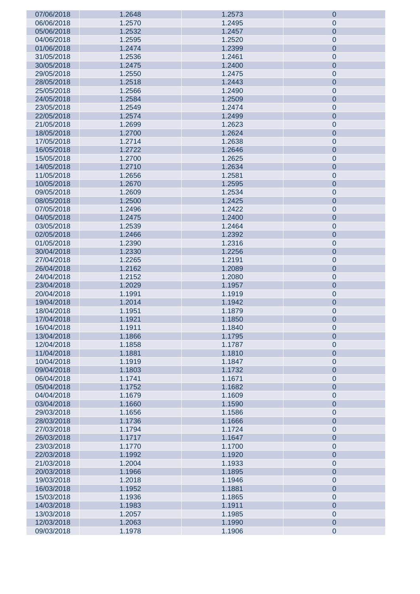| 07/06/2018               | 1.2648 | 1.2573 | $\boldsymbol{0}$ |
|--------------------------|--------|--------|------------------|
| 06/06/2018               | 1.2570 | 1.2495 | $\pmb{0}$        |
| 05/06/2018               | 1.2532 | 1.2457 | $\pmb{0}$        |
| 04/06/2018               | 1.2595 | 1.2520 | $\pmb{0}$        |
|                          |        |        |                  |
| 01/06/2018               | 1.2474 | 1.2399 | $\pmb{0}$        |
| 31/05/2018               | 1.2536 | 1.2461 | $\pmb{0}$        |
| 30/05/2018               | 1.2475 | 1.2400 | $\pmb{0}$        |
| 29/05/2018               | 1.2550 | 1.2475 | $\mathbf 0$      |
| 28/05/2018               | 1.2518 | 1.2443 | $\pmb{0}$        |
| 25/05/2018               | 1.2566 | 1.2490 | $\mathbf 0$      |
| 24/05/2018               | 1.2584 | 1.2509 | $\pmb{0}$        |
| 23/05/2018               | 1.2549 | 1.2474 | $\pmb{0}$        |
|                          |        |        |                  |
| 22/05/2018               | 1.2574 | 1.2499 | $\pmb{0}$        |
| 21/05/2018               | 1.2699 | 1.2623 | $\mathbf 0$      |
| 18/05/2018               | 1.2700 | 1.2624 | $\pmb{0}$        |
| 17/05/2018               | 1.2714 | 1.2638 | $\mathbf 0$      |
| 16/05/2018               | 1.2722 | 1.2646 | $\pmb{0}$        |
| 15/05/2018               | 1.2700 | 1.2625 | $\mathbf 0$      |
| 14/05/2018               | 1.2710 | 1.2634 | $\pmb{0}$        |
| 11/05/2018               | 1.2656 | 1.2581 | $\mathbf 0$      |
| 10/05/2018               | 1.2670 | 1.2595 | $\pmb{0}$        |
|                          |        |        |                  |
| 09/05/2018               | 1.2609 | 1.2534 | $\mathbf 0$      |
| 08/05/2018               | 1.2500 | 1.2425 | $\pmb{0}$        |
| 07/05/2018               | 1.2496 | 1.2422 | $\pmb{0}$        |
| 04/05/2018               | 1.2475 | 1.2400 | $\pmb{0}$        |
| 03/05/2018               | 1.2539 | 1.2464 | $\mathbf 0$      |
| 02/05/2018               | 1.2466 | 1.2392 | $\pmb{0}$        |
| 01/05/2018               | 1.2390 | 1.2316 | $\pmb{0}$        |
| 30/04/2018               | 1.2330 | 1.2256 | $\pmb{0}$        |
| 27/04/2018               | 1.2265 | 1.2191 |                  |
|                          |        |        | $\pmb{0}$        |
| 26/04/2018               | 1.2162 | 1.2089 | $\pmb{0}$        |
| 24/04/2018               | 1.2152 | 1.2080 | $\pmb{0}$        |
| 23/04/2018               | 1.2029 | 1.1957 | $\pmb{0}$        |
| 20/04/2018               | 1.1991 | 1.1919 | $\pmb{0}$        |
| 19/04/2018               | 1.2014 | 1.1942 | $\pmb{0}$        |
| 18/04/2018               | 1.1951 | 1.1879 | $\pmb{0}$        |
| 17/04/2018               | 1.1921 | 1.1850 | $\pmb{0}$        |
| 16/04/2018               | 1.1911 | 1.1840 | $\pmb{0}$        |
| 13/04/2018               | 1.1866 | 1.1795 | $\mathbf 0$      |
| 12/04/2018               | 1.1858 | 1.1787 | $\pmb{0}$        |
|                          |        |        |                  |
| 11/04/2018               | 1.1881 | 1.1810 | $\pmb{0}$        |
| 10/04/2018               | 1.1919 | 1.1847 | $\pmb{0}$        |
| 09/04/2018               | 1.1803 | 1.1732 | $\pmb{0}$        |
| 06/04/2018               | 1.1741 | 1.1671 | $\pmb{0}$        |
| 05/04/2018               | 1.1752 | 1.1682 | $\pmb{0}$        |
| 04/04/2018               | 1.1679 | 1.1609 | $\pmb{0}$        |
| 03/04/2018               | 1.1660 | 1.1590 | $\pmb{0}$        |
| 29/03/2018               | 1.1656 | 1.1586 | $\pmb{0}$        |
| 28/03/2018               | 1.1736 | 1.1666 | $\pmb{0}$        |
| 27/03/2018               | 1.1794 | 1.1724 | $\pmb{0}$        |
|                          |        | 1.1647 | $\pmb{0}$        |
| 26/03/2018               | 1.1717 |        |                  |
| 23/03/2018               | 1.1770 | 1.1700 | $\pmb{0}$        |
| 22/03/2018               | 1.1992 | 1.1920 | $\pmb{0}$        |
| 21/03/2018               | 1.2004 | 1.1933 | $\pmb{0}$        |
| 20/03/2018               | 1.1966 | 1.1895 | $\pmb{0}$        |
| 19/03/2018               | 1.2018 | 1.1946 | $\pmb{0}$        |
| 16/03/2018               | 1.1952 | 1.1881 | $\pmb{0}$        |
| 15/03/2018               | 1.1936 | 1.1865 | $\pmb{0}$        |
| 14/03/2018               | 1.1983 | 1.1911 | $\pmb{0}$        |
| 13/03/2018               | 1.2057 | 1.1985 | $\pmb{0}$        |
|                          |        |        |                  |
| 12/03/2018<br>09/03/2018 | 1.2063 | 1.1990 | $\pmb{0}$        |
|                          | 1.1978 | 1.1906 | $\pmb{0}$        |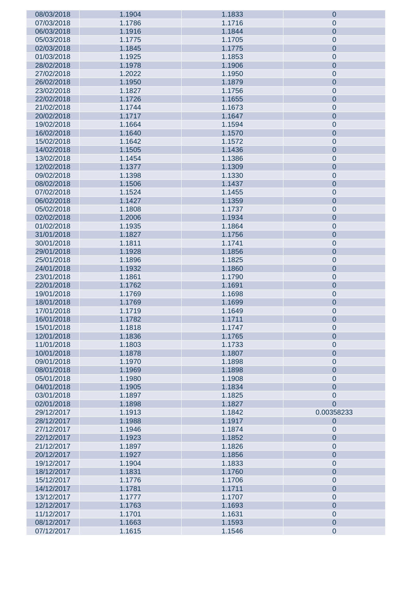| 08/03/2018 | 1.1904 | 1.1833 | $\theta$         |
|------------|--------|--------|------------------|
| 07/03/2018 | 1.1786 | 1.1716 | $\mathbf 0$      |
| 06/03/2018 | 1.1916 | 1.1844 | $\mathbf 0$      |
| 05/03/2018 | 1.1775 | 1.1705 | $\mathbf 0$      |
| 02/03/2018 | 1.1845 | 1.1775 | $\mathbf 0$      |
|            |        |        |                  |
| 01/03/2018 | 1.1925 | 1.1853 | $\mathbf 0$      |
| 28/02/2018 | 1.1978 | 1.1906 | $\mathbf 0$      |
| 27/02/2018 | 1.2022 | 1.1950 | $\mathbf 0$      |
| 26/02/2018 | 1.1950 | 1.1879 | $\mathbf 0$      |
| 23/02/2018 | 1.1827 | 1.1756 | $\mathbf 0$      |
| 22/02/2018 | 1.1726 | 1.1655 | $\mathbf 0$      |
| 21/02/2018 | 1.1744 | 1.1673 | $\mathbf 0$      |
| 20/02/2018 | 1.1717 | 1.1647 | $\mathbf 0$      |
| 19/02/2018 | 1.1664 | 1.1594 | $\mathbf 0$      |
|            |        |        |                  |
| 16/02/2018 | 1.1640 | 1.1570 | $\mathbf 0$      |
| 15/02/2018 | 1.1642 | 1.1572 | $\mathbf 0$      |
| 14/02/2018 | 1.1505 | 1.1436 | $\mathbf 0$      |
| 13/02/2018 | 1.1454 | 1.1386 | $\mathbf 0$      |
| 12/02/2018 | 1.1377 | 1.1309 | $\mathbf 0$      |
| 09/02/2018 | 1.1398 | 1.1330 | $\mathbf 0$      |
| 08/02/2018 | 1.1506 | 1.1437 | $\mathbf 0$      |
| 07/02/2018 | 1.1524 | 1.1455 | $\mathbf 0$      |
| 06/02/2018 | 1.1427 | 1.1359 | $\mathbf 0$      |
| 05/02/2018 | 1.1808 | 1.1737 | $\mathbf 0$      |
| 02/02/2018 | 1.2006 | 1.1934 | $\mathbf 0$      |
|            |        |        |                  |
| 01/02/2018 | 1.1935 | 1.1864 | $\mathbf 0$      |
| 31/01/2018 | 1.1827 | 1.1756 | $\mathbf 0$      |
| 30/01/2018 | 1.1811 | 1.1741 | $\mathbf 0$      |
| 29/01/2018 | 1.1928 | 1.1856 | $\mathbf 0$      |
| 25/01/2018 | 1.1896 | 1.1825 | $\mathbf 0$      |
| 24/01/2018 | 1.1932 | 1.1860 | $\mathbf 0$      |
| 23/01/2018 | 1.1861 | 1.1790 | $\mathbf 0$      |
| 22/01/2018 | 1.1762 | 1.1691 | $\mathbf 0$      |
| 19/01/2018 | 1.1769 | 1.1698 | $\mathbf 0$      |
| 18/01/2018 | 1.1769 | 1.1699 | $\mathbf 0$      |
| 17/01/2018 | 1.1719 | 1.1649 | $\mathbf 0$      |
| 16/01/2018 | 1.1782 | 1.1711 | $\mathbf 0$      |
| 15/01/2018 | 1.1818 | 1.1747 |                  |
|            |        |        | $\overline{0}$   |
| 12/01/2018 | 1.1836 | 1.1765 | $\mathbf 0$      |
| 11/01/2018 | 1.1803 | 1.1733 | $\mathbf 0$      |
| 10/01/2018 | 1.1878 | 1.1807 | $\mathbf 0$      |
| 09/01/2018 | 1.1970 | 1.1898 | $\mathbf 0$      |
| 08/01/2018 | 1.1969 | 1.1898 | $\overline{0}$   |
| 05/01/2018 | 1.1980 | 1.1908 | $\mathbf 0$      |
| 04/01/2018 | 1.1905 | 1.1834 | $\overline{0}$   |
| 03/01/2018 | 1.1897 | 1.1825 | $\mathbf 0$      |
| 02/01/2018 | 1.1898 | 1.1827 | $\overline{0}$   |
| 29/12/2017 | 1.1913 | 1.1842 | 0.00358233       |
| 28/12/2017 | 1.1988 | 1.1917 | $\theta$         |
| 27/12/2017 | 1.1946 | 1.1874 | $\mathbf 0$      |
|            |        |        |                  |
| 22/12/2017 | 1.1923 | 1.1852 | $\mathbf 0$      |
| 21/12/2017 | 1.1897 | 1.1826 | $\mathbf 0$      |
| 20/12/2017 | 1.1927 | 1.1856 | $\overline{0}$   |
| 19/12/2017 | 1.1904 | 1.1833 | $\mathbf 0$      |
| 18/12/2017 | 1.1831 | 1.1760 | $\overline{0}$   |
| 15/12/2017 | 1.1776 | 1.1706 | $\mathbf 0$      |
| 14/12/2017 | 1.1781 | 1.1711 | $\mathbf 0$      |
| 13/12/2017 | 1.1777 | 1.1707 | $\mathbf 0$      |
| 12/12/2017 | 1.1763 | 1.1693 | $\mathbf 0$      |
| 11/12/2017 | 1.1701 | 1.1631 | $\mathbf 0$      |
| 08/12/2017 | 1.1663 | 1.1593 | $\mathbf 0$      |
| 07/12/2017 | 1.1615 | 1.1546 | $\boldsymbol{0}$ |
|            |        |        |                  |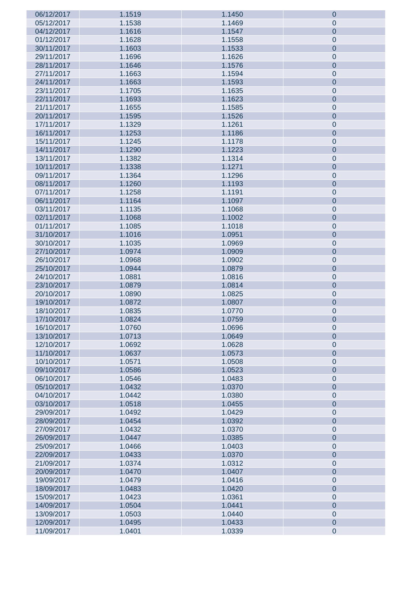| 06/12/2017 | 1.1519 | 1.1450 | $\boldsymbol{0}$ |
|------------|--------|--------|------------------|
| 05/12/2017 | 1.1538 | 1.1469 | $\pmb{0}$        |
| 04/12/2017 | 1.1616 | 1.1547 | $\pmb{0}$        |
| 01/12/2017 | 1.1628 | 1.1558 | $\mathbf 0$      |
| 30/11/2017 | 1.1603 | 1.1533 |                  |
|            |        |        | $\pmb{0}$        |
| 29/11/2017 | 1.1696 | 1.1626 | $\mathbf 0$      |
| 28/11/2017 | 1.1646 | 1.1576 | $\pmb{0}$        |
| 27/11/2017 | 1.1663 | 1.1594 | $\mathbf 0$      |
| 24/11/2017 | 1.1663 | 1.1593 | $\pmb{0}$        |
| 23/11/2017 | 1.1705 | 1.1635 | $\mathbf 0$      |
| 22/11/2017 | 1.1693 | 1.1623 | $\pmb{0}$        |
| 21/11/2017 | 1.1655 | 1.1585 | $\mathbf 0$      |
| 20/11/2017 | 1.1595 | 1.1526 | $\pmb{0}$        |
|            |        |        |                  |
| 17/11/2017 | 1.1329 | 1.1261 | $\mathbf 0$      |
| 16/11/2017 | 1.1253 | 1.1186 | $\pmb{0}$        |
| 15/11/2017 | 1.1245 | 1.1178 | $\mathbf 0$      |
| 14/11/2017 | 1.1290 | 1.1223 | $\pmb{0}$        |
| 13/11/2017 | 1.1382 | 1.1314 | $\mathbf 0$      |
| 10/11/2017 | 1.1338 | 1.1271 | $\pmb{0}$        |
| 09/11/2017 | 1.1364 | 1.1296 | $\mathbf 0$      |
| 08/11/2017 | 1.1260 | 1.1193 | $\pmb{0}$        |
| 07/11/2017 | 1.1258 | 1.1191 | $\mathbf 0$      |
| 06/11/2017 | 1.1164 | 1.1097 | $\pmb{0}$        |
|            |        |        |                  |
| 03/11/2017 | 1.1135 | 1.1068 | $\mathbf 0$      |
| 02/11/2017 | 1.1068 | 1.1002 | $\pmb{0}$        |
| 01/11/2017 | 1.1085 | 1.1018 | $\mathbf 0$      |
| 31/10/2017 | 1.1016 | 1.0951 | $\pmb{0}$        |
| 30/10/2017 | 1.1035 | 1.0969 | $\mathbf 0$      |
| 27/10/2017 | 1.0974 | 1.0909 | $\pmb{0}$        |
| 26/10/2017 | 1.0968 | 1.0902 | $\mathbf 0$      |
| 25/10/2017 | 1.0944 | 1.0879 | $\pmb{0}$        |
| 24/10/2017 | 1.0881 | 1.0816 | $\mathbf 0$      |
| 23/10/2017 | 1.0879 | 1.0814 | $\pmb{0}$        |
| 20/10/2017 | 1.0890 | 1.0825 | $\mathbf 0$      |
|            |        |        |                  |
| 19/10/2017 | 1.0872 | 1.0807 | $\pmb{0}$        |
| 18/10/2017 | 1.0835 | 1.0770 | $\mathbf 0$      |
| 17/10/2017 | 1.0824 | 1.0759 | $\mathbf 0$      |
| 16/10/2017 | 1.0760 | 1.0696 | $\pmb{0}$        |
| 13/10/2017 | 1.0713 | 1.0649 | $\mathbf 0$      |
| 12/10/2017 | 1.0692 | 1.0628 | $\pmb{0}$        |
| 11/10/2017 | 1.0637 | 1.0573 | $\pmb{0}$        |
| 10/10/2017 | 1.0571 | 1.0508 | $\pmb{0}$        |
| 09/10/2017 | 1.0586 | 1.0523 | $\pmb{0}$        |
| 06/10/2017 | 1.0546 | 1.0483 | $\pmb{0}$        |
| 05/10/2017 | 1.0432 | 1.0370 | $\pmb{0}$        |
| 04/10/2017 | 1.0442 | 1.0380 | $\pmb{0}$        |
|            |        |        |                  |
| 03/10/2017 | 1.0518 | 1.0455 | $\pmb{0}$        |
| 29/09/2017 | 1.0492 | 1.0429 | $\pmb{0}$        |
| 28/09/2017 | 1.0454 | 1.0392 | $\pmb{0}$        |
| 27/09/2017 | 1.0432 | 1.0370 | $\pmb{0}$        |
| 26/09/2017 | 1.0447 | 1.0385 | $\pmb{0}$        |
| 25/09/2017 | 1.0466 | 1.0403 | $\pmb{0}$        |
| 22/09/2017 | 1.0433 | 1.0370 | $\pmb{0}$        |
| 21/09/2017 | 1.0374 | 1.0312 | $\pmb{0}$        |
| 20/09/2017 | 1.0470 | 1.0407 | $\pmb{0}$        |
| 19/09/2017 | 1.0479 | 1.0416 | $\pmb{0}$        |
|            |        |        |                  |
| 18/09/2017 | 1.0483 | 1.0420 | $\pmb{0}$        |
| 15/09/2017 | 1.0423 | 1.0361 | $\pmb{0}$        |
| 14/09/2017 | 1.0504 | 1.0441 | $\pmb{0}$        |
| 13/09/2017 | 1.0503 | 1.0440 | $\pmb{0}$        |
| 12/09/2017 | 1.0495 | 1.0433 | $\pmb{0}$        |
| 11/09/2017 | 1.0401 | 1.0339 | $\pmb{0}$        |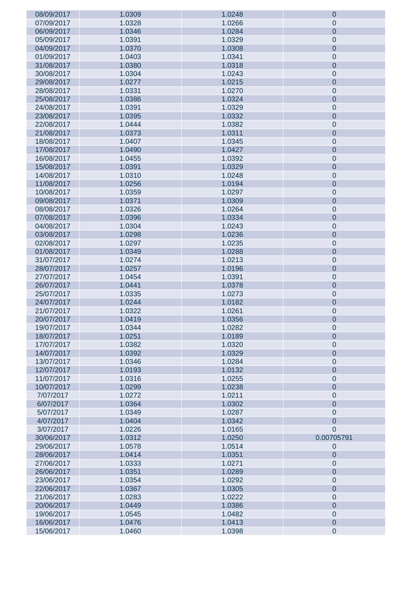| 08/09/2017 | 1.0309 | 1.0248 | $\boldsymbol{0}$ |
|------------|--------|--------|------------------|
| 07/09/2017 | 1.0328 | 1.0266 | $\pmb{0}$        |
| 06/09/2017 | 1.0346 | 1.0284 | $\pmb{0}$        |
| 05/09/2017 | 1.0391 | 1.0329 | $\pmb{0}$        |
| 04/09/2017 | 1.0370 | 1.0308 | $\pmb{0}$        |
|            |        |        |                  |
| 01/09/2017 | 1.0403 | 1.0341 | $\pmb{0}$        |
| 31/08/2017 | 1.0380 | 1.0318 | $\pmb{0}$        |
| 30/08/2017 | 1.0304 | 1.0243 | $\mathbf 0$      |
| 29/08/2017 | 1.0277 | 1.0215 | $\pmb{0}$        |
| 28/08/2017 | 1.0331 | 1.0270 | $\mathbf 0$      |
| 25/08/2017 | 1.0386 | 1.0324 | $\pmb{0}$        |
| 24/08/2017 | 1.0391 | 1.0329 | $\pmb{0}$        |
| 23/08/2017 | 1.0395 | 1.0332 | $\pmb{0}$        |
| 22/08/2017 | 1.0444 | 1.0382 | $\pmb{0}$        |
|            |        |        |                  |
| 21/08/2017 | 1.0373 | 1.0311 | $\pmb{0}$        |
| 18/08/2017 | 1.0407 | 1.0345 | $\pmb{0}$        |
| 17/08/2017 | 1.0490 | 1.0427 | $\pmb{0}$        |
| 16/08/2017 | 1.0455 | 1.0392 | $\pmb{0}$        |
| 15/08/2017 | 1.0391 | 1.0329 | $\pmb{0}$        |
| 14/08/2017 | 1.0310 | 1.0248 | $\mathbf 0$      |
| 11/08/2017 | 1.0256 | 1.0194 | $\pmb{0}$        |
| 10/08/2017 | 1.0359 | 1.0297 | $\pmb{0}$        |
| 09/08/2017 | 1.0371 | 1.0309 | $\pmb{0}$        |
| 08/08/2017 | 1.0326 | 1.0264 | $\pmb{0}$        |
| 07/08/2017 | 1.0396 | 1.0334 | $\pmb{0}$        |
|            |        |        |                  |
| 04/08/2017 | 1.0304 | 1.0243 | $\mathbf 0$      |
| 03/08/2017 | 1.0298 | 1.0236 | $\pmb{0}$        |
| 02/08/2017 | 1.0297 | 1.0235 | $\pmb{0}$        |
| 01/08/2017 | 1.0349 | 1.0288 | $\pmb{0}$        |
| 31/07/2017 | 1.0274 | 1.0213 | $\pmb{0}$        |
| 28/07/2017 | 1.0257 | 1.0196 | $\pmb{0}$        |
| 27/07/2017 | 1.0454 | 1.0391 | $\pmb{0}$        |
| 26/07/2017 | 1.0441 | 1.0378 | $\pmb{0}$        |
| 25/07/2017 | 1.0335 | 1.0273 | $\pmb{0}$        |
| 24/07/2017 | 1.0244 | 1.0182 | $\pmb{0}$        |
| 21/07/2017 | 1.0322 | 1.0261 | $\pmb{0}$        |
| 20/07/2017 | 1.0419 | 1.0356 | $\pmb{0}$        |
| 19/07/2017 | 1.0344 | 1.0282 | $\pmb{0}$        |
| 18/07/2017 | 1.0251 |        | $\pmb{0}$        |
|            |        | 1.0189 |                  |
| 17/07/2017 | 1.0382 | 1.0320 | $\pmb{0}$        |
| 14/07/2017 | 1.0392 | 1.0329 | $\pmb{0}$        |
| 13/07/2017 | 1.0346 | 1.0284 | $\pmb{0}$        |
| 12/07/2017 | 1.0193 | 1.0132 | $\pmb{0}$        |
| 11/07/2017 | 1.0316 | 1.0255 | $\pmb{0}$        |
| 10/07/2017 | 1.0299 | 1.0238 | $\pmb{0}$        |
| 7/07/2017  | 1.0272 | 1.0211 | $\pmb{0}$        |
| 6/07/2017  | 1.0364 | 1.0302 | $\pmb{0}$        |
| 5/07/2017  | 1.0349 | 1.0287 | $\pmb{0}$        |
| 4/07/2017  | 1.0404 | 1.0342 | $\overline{0}$   |
| 3/07/2017  | 1.0226 | 1.0165 | $\mathbf 0$      |
| 30/06/2017 | 1.0312 | 1.0250 | 0.00705791       |
| 29/06/2017 | 1.0578 | 1.0514 | $\pmb{0}$        |
|            |        |        |                  |
| 28/06/2017 | 1.0414 | 1.0351 | $\boldsymbol{0}$ |
| 27/06/2017 | 1.0333 | 1.0271 | $\pmb{0}$        |
| 26/06/2017 | 1.0351 | 1.0289 | $\pmb{0}$        |
| 23/06/2017 | 1.0354 | 1.0292 | $\pmb{0}$        |
| 22/06/2017 | 1.0367 | 1.0305 | $\pmb{0}$        |
| 21/06/2017 | 1.0283 | 1.0222 | $\pmb{0}$        |
| 20/06/2017 | 1.0449 | 1.0386 | $\pmb{0}$        |
| 19/06/2017 | 1.0545 | 1.0482 | $\pmb{0}$        |
| 16/06/2017 | 1.0476 | 1.0413 | $\pmb{0}$        |
| 15/06/2017 | 1.0460 | 1.0398 | $\pmb{0}$        |
|            |        |        |                  |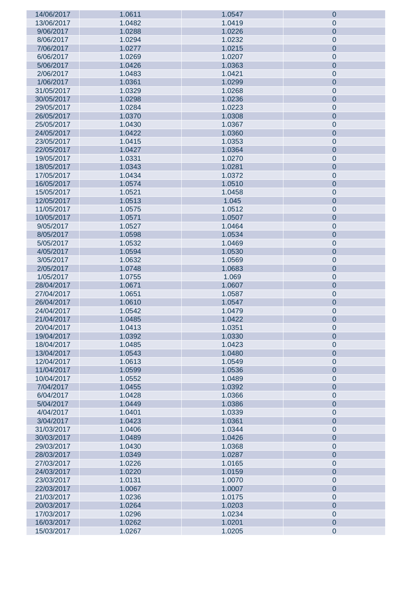| 14/06/2017 | 1.0611 | 1.0547 | $\boldsymbol{0}$ |
|------------|--------|--------|------------------|
| 13/06/2017 | 1.0482 | 1.0419 | $\pmb{0}$        |
| 9/06/2017  | 1.0288 | 1.0226 | $\pmb{0}$        |
| 8/06/2017  | 1.0294 | 1.0232 | $\pmb{0}$        |
|            |        |        |                  |
| 7/06/2017  | 1.0277 | 1.0215 | $\pmb{0}$        |
| 6/06/2017  | 1.0269 | 1.0207 | $\pmb{0}$        |
| 5/06/2017  | 1.0426 | 1.0363 | $\pmb{0}$        |
| 2/06/2017  | 1.0483 | 1.0421 | $\mathbf 0$      |
| 1/06/2017  | 1.0361 | 1.0299 | $\pmb{0}$        |
| 31/05/2017 | 1.0329 | 1.0268 | $\pmb{0}$        |
| 30/05/2017 | 1.0298 | 1.0236 | $\pmb{0}$        |
| 29/05/2017 | 1.0284 | 1.0223 | $\pmb{0}$        |
| 26/05/2017 | 1.0370 | 1.0308 | $\pmb{0}$        |
|            |        |        |                  |
| 25/05/2017 | 1.0430 | 1.0367 | $\pmb{0}$        |
| 24/05/2017 | 1.0422 | 1.0360 | $\pmb{0}$        |
| 23/05/2017 | 1.0415 | 1.0353 | $\pmb{0}$        |
| 22/05/2017 | 1.0427 | 1.0364 | $\pmb{0}$        |
| 19/05/2017 | 1.0331 | 1.0270 | $\pmb{0}$        |
| 18/05/2017 | 1.0343 | 1.0281 | $\pmb{0}$        |
| 17/05/2017 | 1.0434 | 1.0372 | $\mathbf 0$      |
| 16/05/2017 | 1.0574 | 1.0510 | $\pmb{0}$        |
| 15/05/2017 | 1.0521 | 1.0458 | $\pmb{0}$        |
|            |        |        |                  |
| 12/05/2017 | 1.0513 | 1.045  | $\pmb{0}$        |
| 11/05/2017 | 1.0575 | 1.0512 | $\pmb{0}$        |
| 10/05/2017 | 1.0571 | 1.0507 | $\pmb{0}$        |
| 9/05/2017  | 1.0527 | 1.0464 | $\mathbf 0$      |
| 8/05/2017  | 1.0598 | 1.0534 | $\pmb{0}$        |
| 5/05/2017  | 1.0532 | 1.0469 | $\pmb{0}$        |
| 4/05/2017  | 1.0594 | 1.0530 | $\pmb{0}$        |
| 3/05/2017  | 1.0632 | 1.0569 | $\pmb{0}$        |
| 2/05/2017  | 1.0748 | 1.0683 | $\pmb{0}$        |
| 1/05/2017  | 1.0755 | 1.069  | $\pmb{0}$        |
|            |        |        |                  |
| 28/04/2017 | 1.0671 | 1.0607 | $\pmb{0}$        |
| 27/04/2017 | 1.0651 | 1.0587 | $\pmb{0}$        |
| 26/04/2017 | 1.0610 | 1.0547 | $\pmb{0}$        |
| 24/04/2017 | 1.0542 | 1.0479 | $\pmb{0}$        |
| 21/04/2017 | 1.0485 | 1.0422 | $\pmb{0}$        |
| 20/04/2017 | 1.0413 | 1.0351 | $\pmb{0}$        |
| 19/04/2017 | 1.0392 | 1.0330 | $\pmb{0}$        |
| 18/04/2017 | 1.0485 | 1.0423 | $\pmb{0}$        |
| 13/04/2017 | 1.0543 | 1.0480 | $\pmb{0}$        |
| 12/04/2017 | 1.0613 | 1.0549 | $\pmb{0}$        |
| 11/04/2017 | 1.0599 | 1.0536 | $\pmb{0}$        |
| 10/04/2017 | 1.0552 | 1.0489 | $\pmb{0}$        |
|            | 1.0455 |        |                  |
| 7/04/2017  |        | 1.0392 | $\pmb{0}$        |
| 6/04/2017  | 1.0428 | 1.0366 | $\pmb{0}$        |
| 5/04/2017  | 1.0449 | 1.0386 | $\pmb{0}$        |
| 4/04/2017  | 1.0401 | 1.0339 | $\pmb{0}$        |
| 3/04/2017  | 1.0423 | 1.0361 | $\pmb{0}$        |
| 31/03/2017 | 1.0406 | 1.0344 | $\pmb{0}$        |
| 30/03/2017 | 1.0489 | 1.0426 | $\pmb{0}$        |
| 29/03/2017 | 1.0430 | 1.0368 | $\pmb{0}$        |
| 28/03/2017 | 1.0349 | 1.0287 | $\pmb{0}$        |
| 27/03/2017 | 1.0226 | 1.0165 | $\pmb{0}$        |
| 24/03/2017 | 1.0220 | 1.0159 | $\pmb{0}$        |
|            |        |        |                  |
| 23/03/2017 | 1.0131 | 1.0070 | $\pmb{0}$        |
| 22/03/2017 | 1.0067 | 1.0007 | $\pmb{0}$        |
| 21/03/2017 | 1.0236 | 1.0175 | $\pmb{0}$        |
|            |        |        |                  |
| 20/03/2017 | 1.0264 | 1.0203 | $\pmb{0}$        |
| 17/03/2017 | 1.0296 | 1.0234 | $\pmb{0}$        |
| 16/03/2017 | 1.0262 | 1.0201 | $\pmb{0}$        |